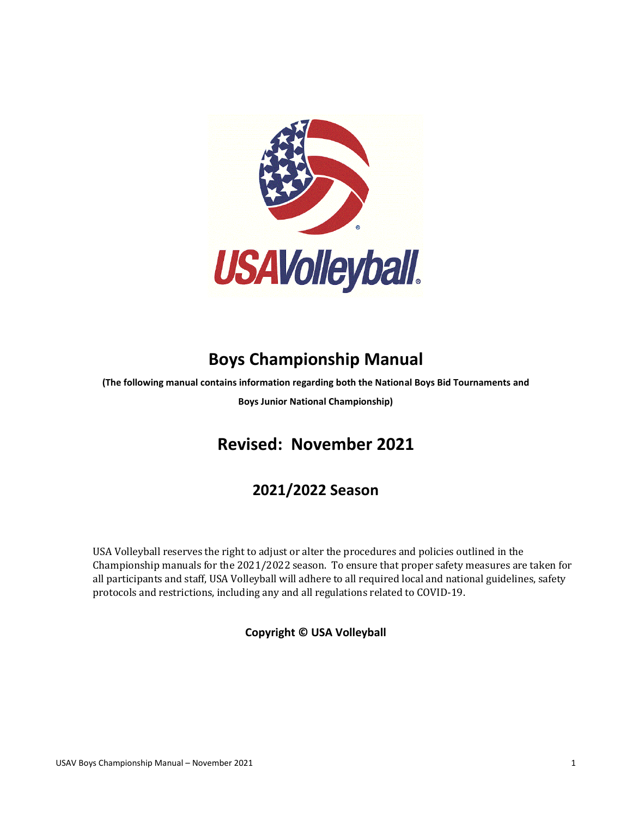

# **Boys Championship Manual**

**(The following manual contains information regarding both the National Boys Bid Tournaments and**

**Boys Junior National Championship)**

# **Revised: November 2021**

## **2021/2022 Season**

USA Volleyball reserves the right to adjust or alter the procedures and policies outlined in the Championship manuals for the 2021/2022 season. To ensure that proper safety measures are taken for all participants and staff, USA Volleyball will adhere to all required local and national guidelines, safety protocols and restrictions, including any and all regulations related to COVID-19.

#### **Copyright © USA Volleyball**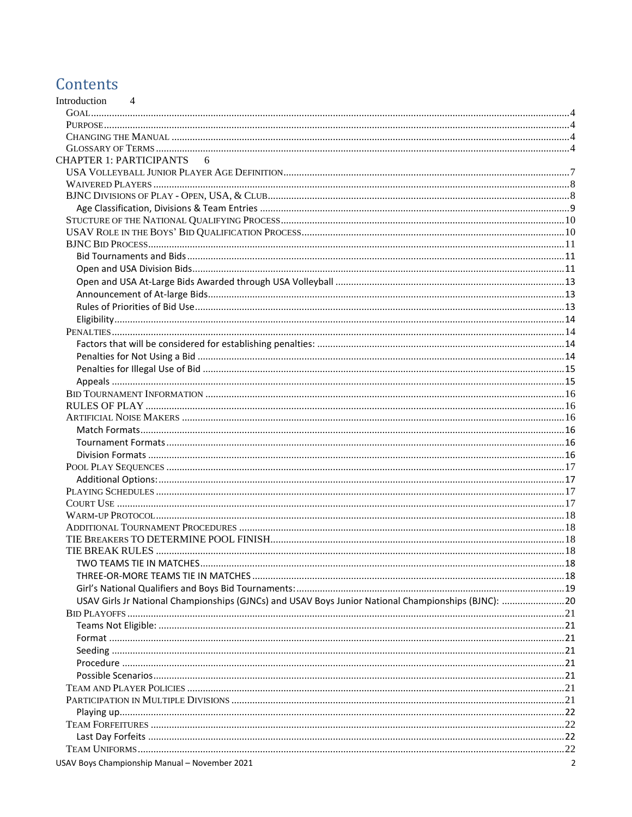## Contents

| Introduction<br>$\overline{4}$                                                                      |  |
|-----------------------------------------------------------------------------------------------------|--|
|                                                                                                     |  |
|                                                                                                     |  |
|                                                                                                     |  |
| CHAPTER 1: PARTICIPANTS 6                                                                           |  |
|                                                                                                     |  |
|                                                                                                     |  |
|                                                                                                     |  |
|                                                                                                     |  |
|                                                                                                     |  |
|                                                                                                     |  |
|                                                                                                     |  |
|                                                                                                     |  |
|                                                                                                     |  |
|                                                                                                     |  |
|                                                                                                     |  |
|                                                                                                     |  |
|                                                                                                     |  |
|                                                                                                     |  |
|                                                                                                     |  |
|                                                                                                     |  |
|                                                                                                     |  |
|                                                                                                     |  |
|                                                                                                     |  |
|                                                                                                     |  |
|                                                                                                     |  |
|                                                                                                     |  |
|                                                                                                     |  |
|                                                                                                     |  |
|                                                                                                     |  |
|                                                                                                     |  |
|                                                                                                     |  |
|                                                                                                     |  |
|                                                                                                     |  |
|                                                                                                     |  |
|                                                                                                     |  |
|                                                                                                     |  |
|                                                                                                     |  |
|                                                                                                     |  |
|                                                                                                     |  |
| USAV Girls Jr National Championships (GJNCs) and USAV Boys Junior National Championships (BJNC): 20 |  |
|                                                                                                     |  |
|                                                                                                     |  |
|                                                                                                     |  |
|                                                                                                     |  |
|                                                                                                     |  |
|                                                                                                     |  |
|                                                                                                     |  |
|                                                                                                     |  |
|                                                                                                     |  |
|                                                                                                     |  |
|                                                                                                     |  |
|                                                                                                     |  |
| USAV Boys Championship Manual - November 2021                                                       |  |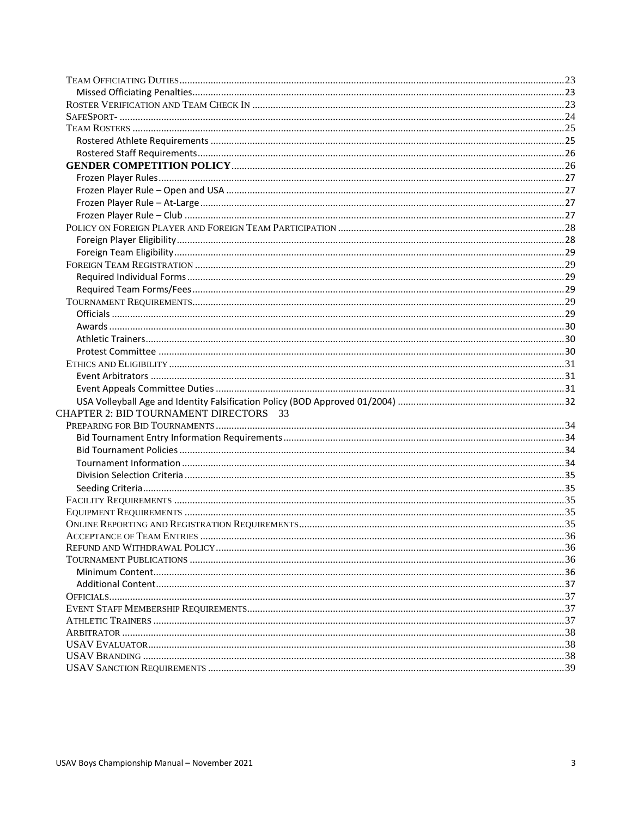| <b>CHAPTER 2: BID TOURNAMENT DIRECTORS 33</b>        |  |
|------------------------------------------------------|--|
|                                                      |  |
|                                                      |  |
|                                                      |  |
|                                                      |  |
|                                                      |  |
|                                                      |  |
|                                                      |  |
|                                                      |  |
|                                                      |  |
| $\frac{36}{10}$<br><b>ACCEPTANCE OF TEAM ENTRIES</b> |  |
|                                                      |  |
|                                                      |  |
|                                                      |  |
|                                                      |  |
|                                                      |  |
|                                                      |  |
|                                                      |  |
|                                                      |  |
|                                                      |  |
|                                                      |  |
|                                                      |  |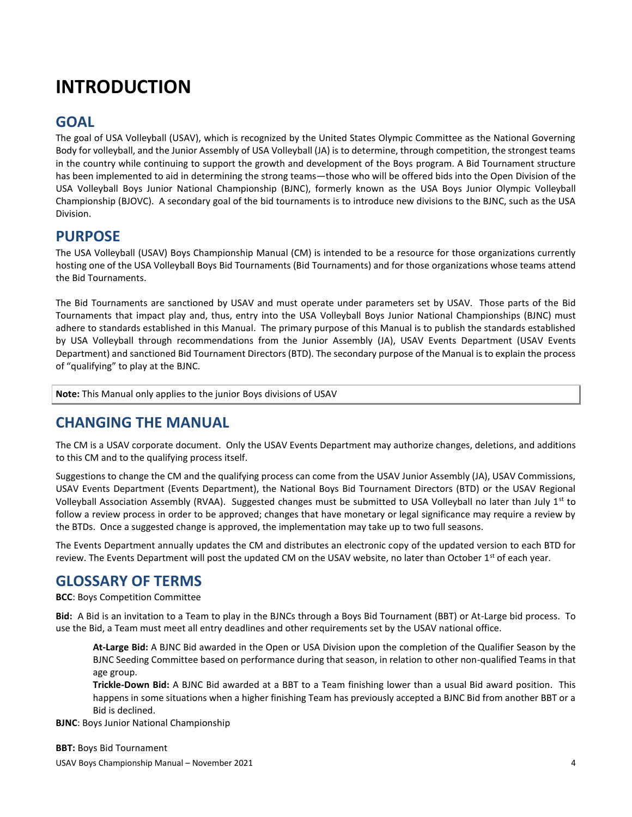# <span id="page-3-0"></span>**INTRODUCTION**

### <span id="page-3-1"></span>**GOAL**

The goal of USA Volleyball (USAV), which is recognized by the United States Olympic Committee as the National Governing Body for volleyball, and the Junior Assembly of USA Volleyball (JA) is to determine, through competition, the strongest teams in the country while continuing to support the growth and development of the Boys program. A Bid Tournament structure has been implemented to aid in determining the strong teams—those who will be offered bids into the Open Division of the USA Volleyball Boys Junior National Championship (BJNC), formerly known as the USA Boys Junior Olympic Volleyball Championship (BJOVC). A secondary goal of the bid tournaments is to introduce new divisions to the BJNC, such as the USA Division.

### <span id="page-3-2"></span>**PURPOSE**

The USA Volleyball (USAV) Boys Championship Manual (CM) is intended to be a resource for those organizations currently hosting one of the USA Volleyball Boys Bid Tournaments (Bid Tournaments) and for those organizations whose teams attend the Bid Tournaments.

The Bid Tournaments are sanctioned by USAV and must operate under parameters set by USAV. Those parts of the Bid Tournaments that impact play and, thus, entry into the USA Volleyball Boys Junior National Championships (BJNC) must adhere to standards established in this Manual. The primary purpose of this Manual is to publish the standards established by USA Volleyball through recommendations from the Junior Assembly (JA), USAV Events Department (USAV Events Department) and sanctioned Bid Tournament Directors (BTD). The secondary purpose of the Manual is to explain the process of "qualifying" to play at the BJNC.

**Note:** This Manual only applies to the junior Boys divisions of USAV

### <span id="page-3-3"></span>**CHANGING THE MANUAL**

The CM is a USAV corporate document. Only the USAV Events Department may authorize changes, deletions, and additions to this CM and to the qualifying process itself.

Suggestions to change the CM and the qualifying process can come from the USAV Junior Assembly (JA), USAV Commissions, USAV Events Department (Events Department), the National Boys Bid Tournament Directors (BTD) or the USAV Regional Volleyball Association Assembly (RVAA). Suggested changes must be submitted to USA Volleyball no later than July  $1<sup>st</sup>$  to follow a review process in order to be approved; changes that have monetary or legal significance may require a review by the BTDs. Once a suggested change is approved, the implementation may take up to two full seasons.

The Events Department annually updates the CM and distributes an electronic copy of the updated version to each BTD for review. The Events Department will post the updated CM on the USAV website, no later than October  $1<sup>st</sup>$  of each year.

### <span id="page-3-4"></span>**GLOSSARY OF TERMS**

**BCC**: Boys Competition Committee

**Bid:** A Bid is an invitation to a Team to play in the BJNCs through a Boys Bid Tournament (BBT) or At-Large bid process. To use the Bid, a Team must meet all entry deadlines and other requirements set by the USAV national office.

**At-Large Bid:** A BJNC Bid awarded in the Open or USA Division upon the completion of the Qualifier Season by the BJNC Seeding Committee based on performance during that season, in relation to other non-qualified Teams in that age group.

**Trickle-Down Bid:** A BJNC Bid awarded at a BBT to a Team finishing lower than a usual Bid award position. This happens in some situations when a higher finishing Team has previously accepted a BJNC Bid from another BBT or a Bid is declined.

**BJNC**: Boys Junior National Championship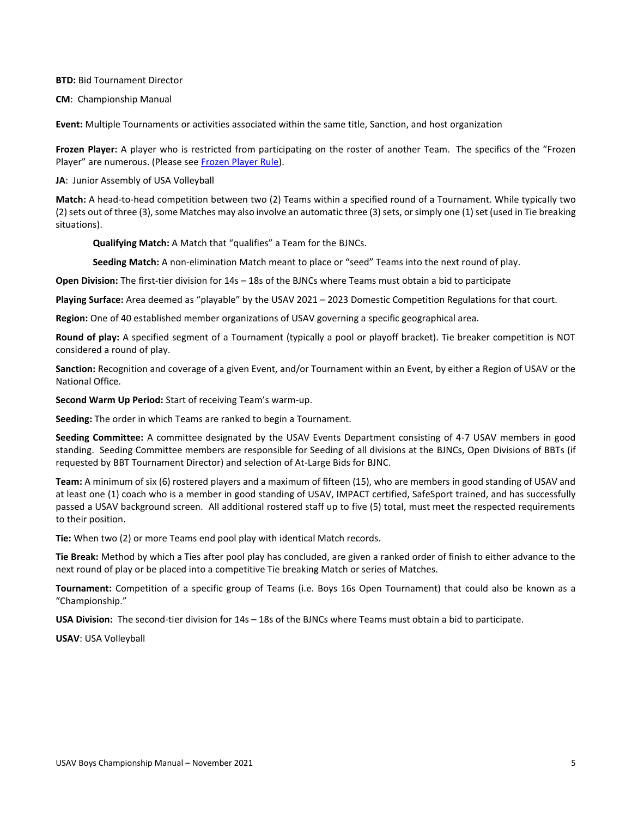**BTD:** Bid Tournament Director

**CM**: Championship Manual

**Event:** Multiple Tournaments or activities associated within the same title, Sanction, and host organization

**Frozen Player:** A player who is restricted from participating on the roster of another Team. The specifics of the "Frozen Player" are numerous. (Please see [Frozen Player Rule\)](#page-26-0).

**JA**: Junior Assembly of USA Volleyball

**Match:** A head-to-head competition between two (2) Teams within a specified round of a Tournament. While typically two (2) sets out of three (3), some Matches may also involve an automatic three (3) sets, or simply one (1) set (used in Tie breaking situations).

**Qualifying Match:** A Match that "qualifies" a Team for the BJNCs.

**Seeding Match:** A non-elimination Match meant to place or "seed" Teams into the next round of play.

**Open Division:** The first-tier division for 14s – 18s of the BJNCs where Teams must obtain a bid to participate

**Playing Surface:** Area deemed as "playable" by the USAV 2021 – 2023 Domestic Competition Regulations for that court.

**Region:** One of 40 established member organizations of USAV governing a specific geographical area.

**Round of play:** A specified segment of a Tournament (typically a pool or playoff bracket). Tie breaker competition is NOT considered a round of play.

**Sanction:** Recognition and coverage of a given Event, and/or Tournament within an Event, by either a Region of USAV or the National Office.

**Second Warm Up Period:** Start of receiving Team's warm-up.

**Seeding:** The order in which Teams are ranked to begin a Tournament.

**Seeding Committee:** A committee designated by the USAV Events Department consisting of 4-7 USAV members in good standing. Seeding Committee members are responsible for Seeding of all divisions at the BJNCs, Open Divisions of BBTs (if requested by BBT Tournament Director) and selection of At-Large Bids for BJNC.

**Team:** A minimum of six (6) rostered players and a maximum of fifteen (15), who are members in good standing of USAV and at least one (1) coach who is a member in good standing of USAV, IMPACT certified, SafeSport trained, and has successfully passed a USAV background screen. All additional rostered staff up to five (5) total, must meet the respected requirements to their position.

**Tie:** When two (2) or more Teams end pool play with identical Match records.

**Tie Break:** Method by which a Ties after pool play has concluded, are given a ranked order of finish to either advance to the next round of play or be placed into a competitive Tie breaking Match or series of Matches.

**Tournament:** Competition of a specific group of Teams (i.e. Boys 16s Open Tournament) that could also be known as a "Championship."

**USA Division:** The second-tier division for 14s – 18s of the BJNCs where Teams must obtain a bid to participate.

**USAV**: USA Volleyball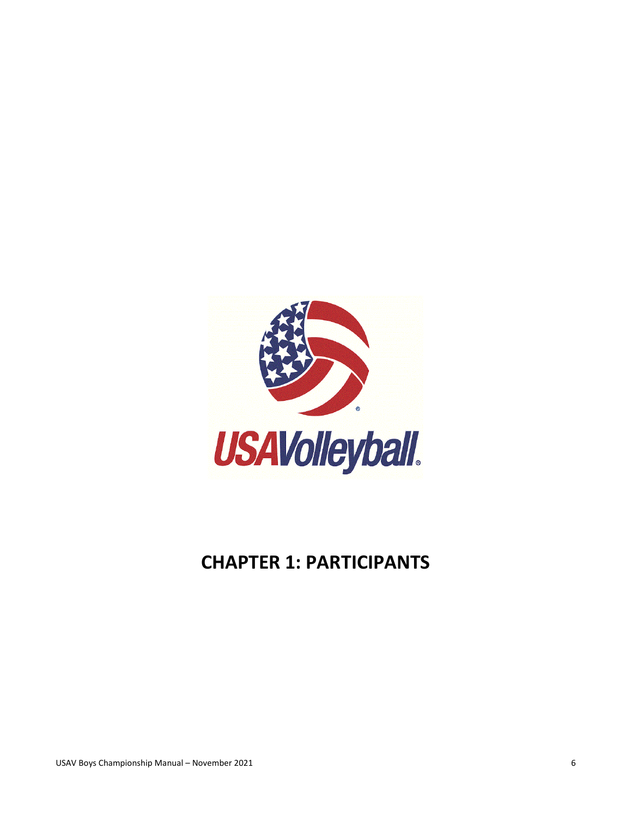

# <span id="page-5-0"></span>**CHAPTER 1: PARTICIPANTS**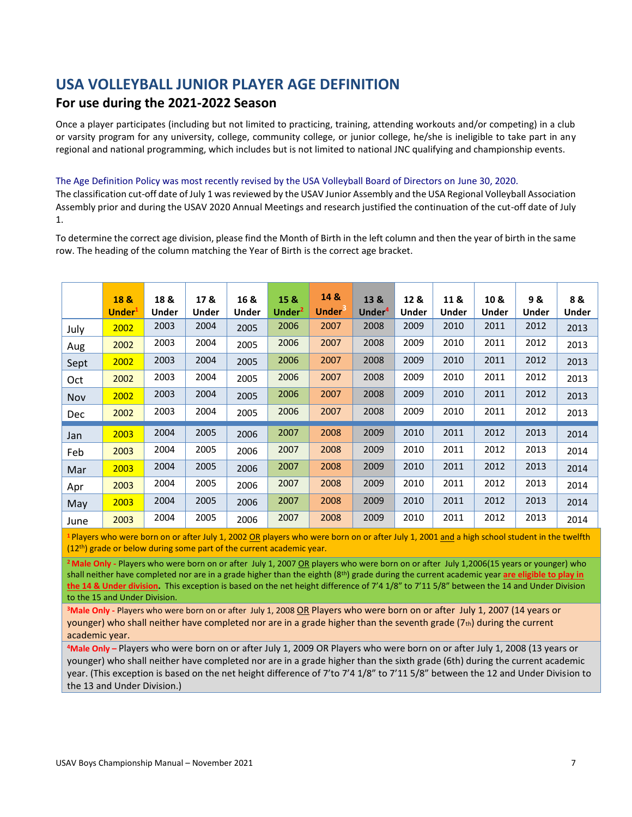### <span id="page-6-0"></span>**USA VOLLEYBALL JUNIOR PLAYER AGE DEFINITION**

#### **For use during the 2021-2022 Season**

Once a player participates (including but not limited to practicing, training, attending workouts and/or competing) in a club or varsity program for any university, college, community college, or junior college, he/she is ineligible to take part in any regional and national programming, which includes but is not limited to national JNC qualifying and championship events.

#### The Age Definition Policy was most recently revised by the USA Volleyball Board of Directors on June 30, 2020.

The classification cut-off date of July 1 was reviewed by the USAV Junior Assembly and the USA Regional Volleyball Association Assembly prior and during the USAV 2020 Annual Meetings and research justified the continuation of the cut-off date of July 1.

To determine the correct age division, please find the Month of Birth in the left column and then the year of birth in the same row. The heading of the column matching the Year of Birth is the correct age bracket.

|            | 18 &<br>Under <sup>1</sup> | 18 &<br>Under | 17&<br>Under | 16 &<br>Under | 15 &<br>Under <sup>2</sup> | 14 &<br><b>Under</b> | 13 &<br>Under <sup>4</sup> | 12 &<br>Under | 11 &<br><b>Under</b> | 10 &<br>Under | 9&<br>Under | 8&<br><b>Under</b> |
|------------|----------------------------|---------------|--------------|---------------|----------------------------|----------------------|----------------------------|---------------|----------------------|---------------|-------------|--------------------|
| July       | 2002                       | 2003          | 2004         | 2005          | 2006                       | 2007                 | 2008                       | 2009          | 2010                 | 2011          | 2012        | 2013               |
| Aug        | 2002                       | 2003          | 2004         | 2005          | 2006                       | 2007                 | 2008                       | 2009          | 2010                 | 2011          | 2012        | 2013               |
| Sept       | 2002                       | 2003          | 2004         | 2005          | 2006                       | 2007                 | 2008                       | 2009          | 2010                 | 2011          | 2012        | 2013               |
| Oct        | 2002                       | 2003          | 2004         | 2005          | 2006                       | 2007                 | 2008                       | 2009          | 2010                 | 2011          | 2012        | 2013               |
| Nov        | 2002                       | 2003          | 2004         | 2005          | 2006                       | 2007                 | 2008                       | 2009          | 2010                 | 2011          | 2012        | 2013               |
| <b>Dec</b> | 2002                       | 2003          | 2004         | 2005          | 2006                       | 2007                 | 2008                       | 2009          | 2010                 | 2011          | 2012        | 2013               |
| Jan        | 2003                       | 2004          | 2005         | 2006          | 2007                       | 2008                 | 2009                       | 2010          | 2011                 | 2012          | 2013        | 2014               |
| Feb        | 2003                       | 2004          | 2005         | 2006          | 2007                       | 2008                 | 2009                       | 2010          | 2011                 | 2012          | 2013        | 2014               |
| Mar        | 2003                       | 2004          | 2005         | 2006          | 2007                       | 2008                 | 2009                       | 2010          | 2011                 | 2012          | 2013        | 2014               |
| Apr        | 2003                       | 2004          | 2005         | 2006          | 2007                       | 2008                 | 2009                       | 2010          | 2011                 | 2012          | 2013        | 2014               |
| May        | 2003                       | 2004          | 2005         | 2006          | 2007                       | 2008                 | 2009                       | 2010          | 2011                 | 2012          | 2013        | 2014               |
| June       | 2003                       | 2004          | 2005         | 2006          | 2007                       | 2008                 | 2009                       | 2010          | 2011                 | 2012          | 2013        | 2014               |

**<sup>1</sup>** Players who were born on or after July 1, 2002 OR players who were born on or after July 1, 2001 and a high school student in the twelfth (12<sup>th</sup>) grade or below during some part of the current academic year.

**<sup>2</sup>Male Only -** Players who were born on or after July 1, 2007 OR players who were born on or after July 1,2006(15 years or younger) who shall neither have completed nor are in a grade higher than the eighth (8<sup>th</sup>) grade during the current academic year are eligible to play in **the 14 & Under division.** This exception is based on the net height difference of 7'4 1/8" to 7'11 5/8" between the 14 and Under Division to the 15 and Under Division.

**<sup>3</sup>Male Only -** Players who were born on or after July 1, 2008 OR Players who were born on or after July 1, 2007 (14 years or younger) who shall neither have completed nor are in a grade higher than the seventh grade (7th) during the current academic year.

**<sup>4</sup>Male Only –** Players who were born on or after July 1, 2009 OR Players who were born on or after July 1, 2008 (13 years or younger) who shall neither have completed nor are in a grade higher than the sixth grade (6th) during the current academic year. (This exception is based on the net height difference of 7'to 7'4 1/8" to 7'11 5/8" between the 12 and Under Division to the 13 and Under Division.)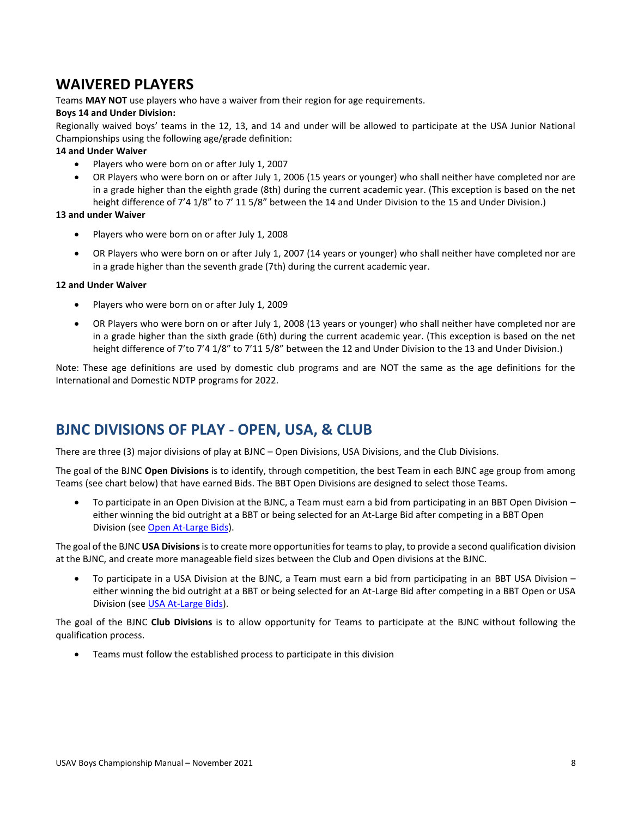### <span id="page-7-0"></span>**WAIVERED PLAYERS**

Teams **MAY NOT** use players who have a waiver from their region for age requirements.

#### **Boys 14 and Under Division:**

Regionally waived boys' teams in the 12, 13, and 14 and under will be allowed to participate at the USA Junior National Championships using the following age/grade definition:

#### **14 and Under Waiver**

- Players who were born on or after July 1, 2007
- OR Players who were born on or after July 1, 2006 (15 years or younger) who shall neither have completed nor are in a grade higher than the eighth grade (8th) during the current academic year. (This exception is based on the net height difference of 7'4 1/8" to 7' 11 5/8" between the 14 and Under Division to the 15 and Under Division.)

#### **13 and under Waiver**

- Players who were born on or after July 1, 2008
- OR Players who were born on or after July 1, 2007 (14 years or younger) who shall neither have completed nor are in a grade higher than the seventh grade (7th) during the current academic year.

#### **12 and Under Waiver**

- Players who were born on or after July 1, 2009
- OR Players who were born on or after July 1, 2008 (13 years or younger) who shall neither have completed nor are in a grade higher than the sixth grade (6th) during the current academic year. (This exception is based on the net height difference of 7'to 7'4 1/8" to 7'11 5/8" between the 12 and Under Division to the 13 and Under Division.)

Note: These age definitions are used by domestic club programs and are NOT the same as the age definitions for the International and Domestic NDTP programs for 2022.

## <span id="page-7-1"></span>**BJNC DIVISIONS OF PLAY - OPEN, USA, & CLUB**

There are three (3) major divisions of play at BJNC – Open Divisions, USA Divisions, and the Club Divisions.

The goal of the BJNC **Open Divisions** is to identify, through competition, the best Team in each BJNC age group from among Teams (see chart below) that have earned Bids. The BBT Open Divisions are designed to select those Teams.

• To participate in an Open Division at the BJNC, a Team must earn a bid from participating in an BBT Open Division – either winning the bid outright at a BBT or being selected for an At-Large Bid after competing in a BBT Open Division (se[e Open At-Large Bids\)](#page-10-2).

The goal of the BJNC **USA Divisions**is to create more opportunities for teams to play, to provide a second qualification division at the BJNC, and create more manageable field sizes between the Club and Open divisions at the BJNC.

• To participate in a USA Division at the BJNC, a Team must earn a bid from participating in an BBT USA Division – either winning the bid outright at a BBT or being selected for an At-Large Bid after competing in a BBT Open or USA Division (se[e USA At-Large Bids\)](#page-12-0).

The goal of the BJNC **Club Divisions** is to allow opportunity for Teams to participate at the BJNC without following the qualification process.

• Teams must follow the established process to participate in this division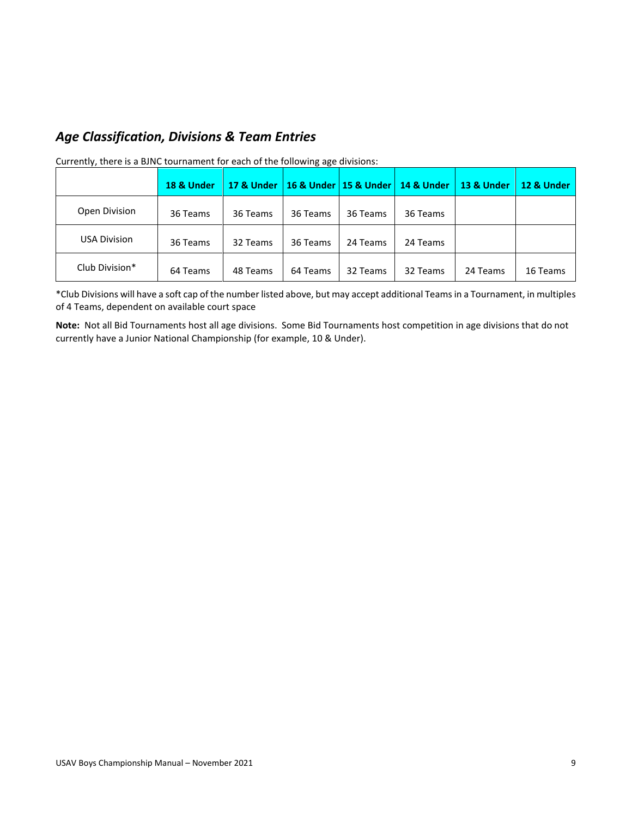### <span id="page-8-0"></span>*Age Classification, Divisions & Team Entries*

|                     | 18 & Under | 17 & Under |          |          | 16 & Under   15 & Under   14 & Under | <b>13 &amp; Under</b> | 12 & Under |
|---------------------|------------|------------|----------|----------|--------------------------------------|-----------------------|------------|
| Open Division       | 36 Teams   | 36 Teams   | 36 Teams | 36 Teams | 36 Teams                             |                       |            |
| <b>USA Division</b> | 36 Teams   | 32 Teams   | 36 Teams | 24 Teams | 24 Teams                             |                       |            |
| Club Division*      | 64 Teams   | 48 Teams   | 64 Teams | 32 Teams | 32 Teams                             | 24 Teams              | 16 Teams   |

Currently, there is a BJNC tournament for each of the following age divisions:

\*Club Divisions will have a soft cap of the number listed above, but may accept additional Teams in a Tournament, in multiples of 4 Teams, dependent on available court space

**Note:** Not all Bid Tournaments host all age divisions. Some Bid Tournaments host competition in age divisions that do not currently have a Junior National Championship (for example, 10 & Under).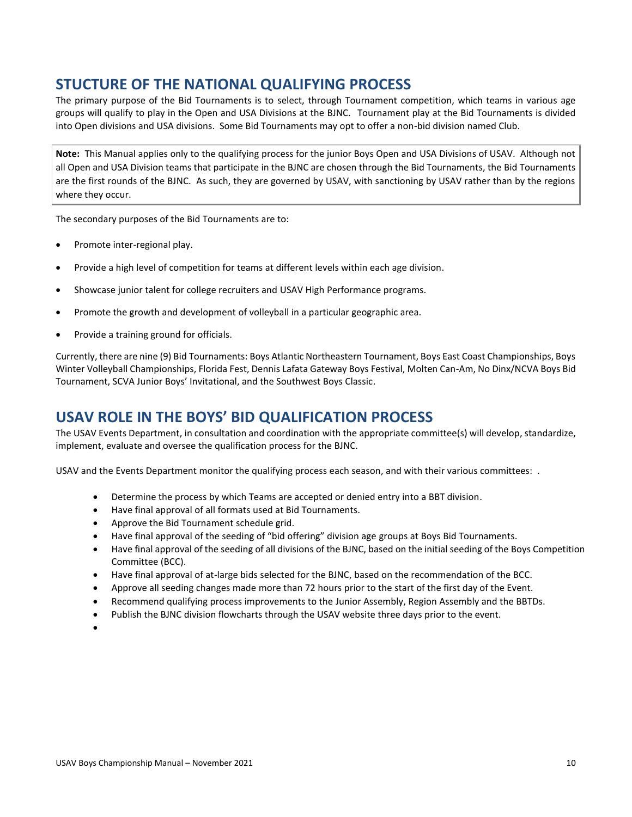### <span id="page-9-0"></span>**STUCTURE OF THE NATIONAL QUALIFYING PROCESS**

The primary purpose of the Bid Tournaments is to select, through Tournament competition, which teams in various age groups will qualify to play in the Open and USA Divisions at the BJNC. Tournament play at the Bid Tournaments is divided into Open divisions and USA divisions. Some Bid Tournaments may opt to offer a non-bid division named Club.

**Note:** This Manual applies only to the qualifying process for the junior Boys Open and USA Divisions of USAV. Although not all Open and USA Division teams that participate in the BJNC are chosen through the Bid Tournaments, the Bid Tournaments are the first rounds of the BJNC. As such, they are governed by USAV, with sanctioning by USAV rather than by the regions where they occur.

The secondary purposes of the Bid Tournaments are to:

- Promote inter-regional play.
- Provide a high level of competition for teams at different levels within each age division.
- Showcase junior talent for college recruiters and USAV High Performance programs.
- Promote the growth and development of volleyball in a particular geographic area.
- Provide a training ground for officials.

Currently, there are nine (9) Bid Tournaments: Boys Atlantic Northeastern Tournament, Boys East Coast Championships, Boys Winter Volleyball Championships, Florida Fest, Dennis Lafata Gateway Boys Festival, Molten Can-Am, No Dinx/NCVA Boys Bid Tournament, SCVA Junior Boys' Invitational, and the Southwest Boys Classic.

### <span id="page-9-1"></span>**USAV ROLE IN THE BOYS' BID QUALIFICATION PROCESS**

The USAV Events Department, in consultation and coordination with the appropriate committee(s) will develop, standardize, implement, evaluate and oversee the qualification process for the BJNC.

USAV and the Events Department monitor the qualifying process each season, and with their various committees: .

- Determine the process by which Teams are accepted or denied entry into a BBT division.
- Have final approval of all formats used at Bid Tournaments.
- Approve the Bid Tournament schedule grid.
- Have final approval of the seeding of "bid offering" division age groups at Boys Bid Tournaments.
- Have final approval of the seeding of all divisions of the BJNC, based on the initial seeding of the Boys Competition Committee (BCC).
- Have final approval of at-large bids selected for the BJNC, based on the recommendation of the BCC.
- Approve all seeding changes made more than 72 hours prior to the start of the first day of the Event.
- Recommend qualifying process improvements to the Junior Assembly, Region Assembly and the BBTDs.
- Publish the BJNC division flowcharts through the USAV website three days prior to the event.
- •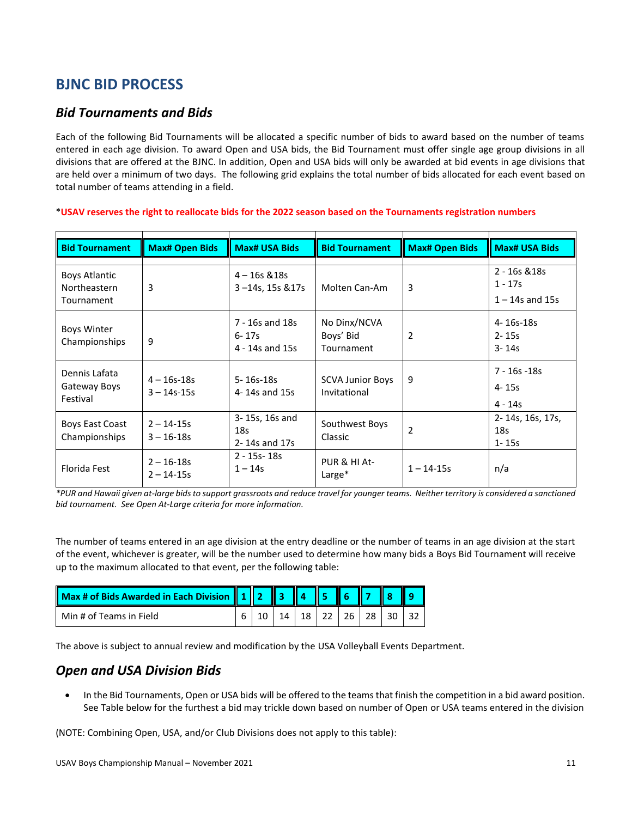### <span id="page-10-0"></span>**BJNC BID PROCESS**

#### <span id="page-10-1"></span>*Bid Tournaments and Bids*

Each of the following Bid Tournaments will be allocated a specific number of bids to award based on the number of teams entered in each age division. To award Open and USA bids, the Bid Tournament must offer single age group divisions in all divisions that are offered at the BJNC. In addition, Open and USA bids will only be awarded at bid events in age divisions that are held over a minimum of two days. The following grid explains the total number of bids allocated for each event based on total number of teams attending in a field.

| <b>Bid Tournament</b>                       | <b>Max# Open Bids</b>              | <b>Max# USA Bids</b>                               | <b>Bid Tournament</b>                   | <b>Max# Open Bids</b> | <b>Max# USA Bids</b>                            |
|---------------------------------------------|------------------------------------|----------------------------------------------------|-----------------------------------------|-----------------------|-------------------------------------------------|
| Boys Atlantic<br>Northeastern<br>Tournament | 3                                  | $4 - 16s$ & 18s<br>3-14s, 15s & 17s                | Molten Can-Am                           | 3                     | 2 - 16s & 18s<br>$1 - 17s$<br>$1 - 14s$ and 15s |
| <b>Boys Winter</b><br>Championships         | 9                                  | 7 - 16s and 18s<br>$6 - 17s$<br>4 - 14s and 15s    | No Dinx/NCVA<br>Boys' Bid<br>Tournament | 2                     | 4-16s-18s<br>$2 - 15s$<br>$3 - 14s$             |
| Dennis Lafata<br>Gateway Boys<br>Festival   | $4 - 16s - 18s$<br>$3 - 14s - 15s$ | $5 - 16s - 18s$<br>4-14s and 15s                   | <b>SCVA Junior Boys</b><br>Invitational | 9                     | 7 - 16s - 18s<br>4-15s<br>$4 - 14s$             |
| Boys East Coast<br>Championships            | $2 - 14 - 15s$<br>$3 - 16 - 18s$   | 3-15s, 16s and<br>18 <sub>S</sub><br>2-14s and 17s | Southwest Boys<br>Classic               | $\overline{2}$        | 2-14s, 16s, 17s,<br>18s<br>$1 - 15s$            |
| Florida Fest                                | $2 - 16 - 18s$<br>$2 - 14 - 15s$   | $2 - 15s - 18s$<br>$1 - 14s$                       | PUR & HI At-<br>Large*                  | $1 - 14 - 15s$        | n/a                                             |

#### \***USAV reserves the right to reallocate bids for the 2022 season based on the Tournaments registration numbers**

*\*PUR and Hawaii given at-large bids to support grassroots and reduce travel for younger teams. Neither territory is considered a sanctioned bid tournament. See Open At-Large criteria for more information.*

The number of teams entered in an age division at the entry deadline or the number of teams in an age division at the start of the event, whichever is greater, will be the number used to determine how many bids a Boys Bid Tournament will receive up to the maximum allocated to that event, per the following table:

| Max # of Bids Awarded in Each Division 1 2 3 4 5 6 7 8 9 |  |  |  |                             |  |
|----------------------------------------------------------|--|--|--|-----------------------------|--|
| Min # of Teams in Field                                  |  |  |  | 14   18   22   26   28   30 |  |

<span id="page-10-2"></span>The above is subject to annual review and modification by the USA Volleyball Events Department.

#### *Open and USA Division Bids*

• In the Bid Tournaments, Open or USA bids will be offered to the teams that finish the competition in a bid award position. See Table below for the furthest a bid may trickle down based on number of Open or USA teams entered in the division

(NOTE: Combining Open, USA, and/or Club Divisions does not apply to this table):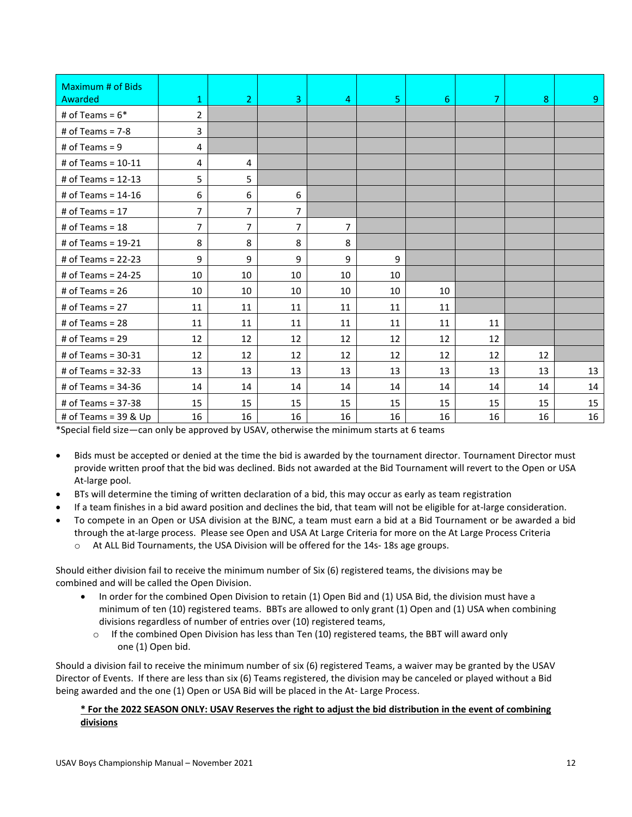| Maximum # of Bids<br>Awarded | 1              | $\overline{2}$ | 3              | $\overline{4}$ | $\overline{5}$ | 6  | $\overline{7}$ | 8  | 9  |
|------------------------------|----------------|----------------|----------------|----------------|----------------|----|----------------|----|----|
| # of Teams = $6*$            | 2              |                |                |                |                |    |                |    |    |
| # of Teams = $7-8$           | $\overline{3}$ |                |                |                |                |    |                |    |    |
| # of Teams = $9$             | 4              |                |                |                |                |    |                |    |    |
| # of Teams = $10-11$         | 4              | 4              |                |                |                |    |                |    |    |
| # of Teams = $12-13$         | 5              | 5              |                |                |                |    |                |    |    |
| # of Teams = 14-16           | 6              | 6              | 6              |                |                |    |                |    |    |
| # of Teams = $17$            | 7              | $\overline{7}$ | $\overline{7}$ |                |                |    |                |    |    |
| # of Teams = $18$            | 7              | $\overline{7}$ | 7              | 7              |                |    |                |    |    |
| # of Teams = 19-21           | 8              | 8              | 8              | 8              |                |    |                |    |    |
| # of Teams = $22-23$         | 9              | 9              | 9              | 9              | 9              |    |                |    |    |
| # of Teams = $24-25$         | 10             | 10             | 10             | 10             | 10             |    |                |    |    |
| # of Teams = $26$            | 10             | 10             | 10             | 10             | 10             | 10 |                |    |    |
| # of Teams = $27$            | 11             | 11             | 11             | 11             | 11             | 11 |                |    |    |
| # of Teams = $28$            | 11             | 11             | 11             | 11             | 11             | 11 | 11             |    |    |
| # of Teams = $29$            | 12             | 12             | 12             | 12             | 12             | 12 | 12             |    |    |
| # of Teams = $30-31$         | 12             | 12             | 12             | 12             | 12             | 12 | 12             | 12 |    |
| # of Teams = $32-33$         | 13             | 13             | 13             | 13             | 13             | 13 | 13             | 13 | 13 |
| # of Teams = 34-36           | 14             | 14             | 14             | 14             | 14             | 14 | 14             | 14 | 14 |
| # of Teams = $37-38$         | 15             | 15             | 15             | 15             | 15             | 15 | 15             | 15 | 15 |
| # of Teams = $39$ & Up       | 16             | 16             | 16             | 16             | 16             | 16 | 16             | 16 | 16 |

\*Special field size—can only be approved by USAV, otherwise the minimum starts at 6 teams

- Bids must be accepted or denied at the time the bid is awarded by the tournament director. Tournament Director must provide written proof that the bid was declined. Bids not awarded at the Bid Tournament will revert to the Open or USA At-large pool.
- BTs will determine the timing of written declaration of a bid, this may occur as early as team registration
- If a team finishes in a bid award position and declines the bid, that team will not be eligible for at-large consideration.
- To compete in an Open or USA division at the BJNC, a team must earn a bid at a Bid Tournament or be awarded a bid through the at-large process. Please see Open and USA At Large Criteria for more on the At Large Process Criteria
	- o At ALL Bid Tournaments, the USA Division will be offered for the 14s- 18s age groups.

Should either division fail to receive the minimum number of Six (6) registered teams, the divisions may be combined and will be called the Open Division.

- In order for the combined Open Division to retain (1) Open Bid and (1) USA Bid, the division must have a minimum of ten (10) registered teams. BBTs are allowed to only grant (1) Open and (1) USA when combining divisions regardless of number of entries over (10) registered teams,
	- $\circ$  If the combined Open Division has less than Ten (10) registered teams, the BBT will award only one (1) Open bid.

Should a division fail to receive the minimum number of six (6) registered Teams, a waiver may be granted by the USAV Director of Events. If there are less than six (6) Teams registered, the division may be canceled or played without a Bid being awarded and the one (1) Open or USA Bid will be placed in the At- Large Process.

#### **\* For the 2022 SEASON ONLY: USAV Reserves the right to adjust the bid distribution in the event of combining divisions**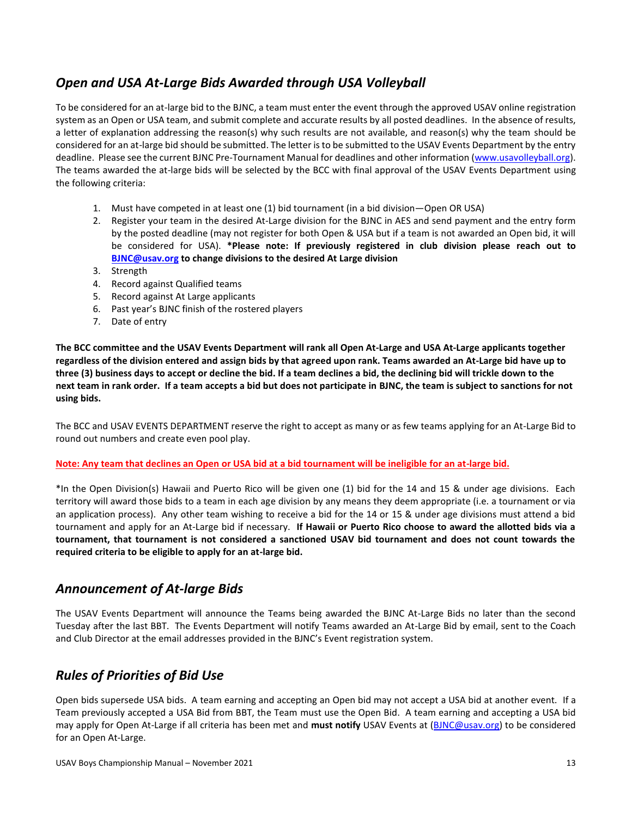### <span id="page-12-0"></span>*Open and USA At-Large Bids Awarded through USA Volleyball*

To be considered for an at-large bid to the BJNC, a team must enter the event through the approved USAV online registration system as an Open or USA team, and submit complete and accurate results by all posted deadlines. In the absence of results, a letter of explanation addressing the reason(s) why such results are not available, and reason(s) why the team should be considered for an at-large bid should be submitted. The letter is to be submitted to the USAV Events Department by the entry deadline. Please see the current BJNC Pre-Tournament Manual for deadlines and other information [\(www.usavolleyball.org\)](http://www.usavolleyball.org/). The teams awarded the at-large bids will be selected by the BCC with final approval of the USAV Events Department using the following criteria:

- 1. Must have competed in at least one (1) bid tournament (in a bid division—Open OR USA)
- 2. Register your team in the desired At-Large division for the BJNC in AES and send payment and the entry form by the posted deadline (may not register for both Open & USA but if a team is not awarded an Open bid, it will be considered for USA). **\*Please note: If previously registered in club division please reach out to [BJNC@usav.org](mailto:BJNC@usav.org) to change divisions to the desired At Large division**
- 3. Strength
- 4. Record against Qualified teams
- 5. Record against At Large applicants
- 6. Past year's BJNC finish of the rostered players
- 7. Date of entry

**The BCC committee and the USAV Events Department will rank all Open At-Large and USA At-Large applicants together regardless of the division entered and assign bids by that agreed upon rank. Teams awarded an At-Large bid have up to three (3) business days to accept or decline the bid. If a team declines a bid, the declining bid will trickle down to the next team in rank order. If a team accepts a bid but does not participate in BJNC, the team is subject to sanctions for not using bids.**

The BCC and USAV EVENTS DEPARTMENT reserve the right to accept as many or as few teams applying for an At-Large Bid to round out numbers and create even pool play.

#### **Note: Any team that declines an Open or USA bid at a bid tournament will be ineligible for an at-large bid.**

\*In the Open Division(s) Hawaii and Puerto Rico will be given one (1) bid for the 14 and 15 & under age divisions. Each territory will award those bids to a team in each age division by any means they deem appropriate (i.e. a tournament or via an application process). Any other team wishing to receive a bid for the 14 or 15 & under age divisions must attend a bid tournament and apply for an At-Large bid if necessary. **If Hawaii or Puerto Rico choose to award the allotted bids via a tournament, that tournament is not considered a sanctioned USAV bid tournament and does not count towards the required criteria to be eligible to apply for an at-large bid.**

#### <span id="page-12-1"></span>*Announcement of At-large Bids*

The USAV Events Department will announce the Teams being awarded the BJNC At-Large Bids no later than the second Tuesday after the last BBT. The Events Department will notify Teams awarded an At-Large Bid by email, sent to the Coach and Club Director at the email addresses provided in the BJNC's Event registration system.

### <span id="page-12-2"></span>*Rules of Priorities of Bid Use*

Open bids supersede USA bids. A team earning and accepting an Open bid may not accept a USA bid at another event. If a Team previously accepted a USA Bid from BBT, the Team must use the Open Bid. A team earning and accepting a USA bid may apply for Open At-Large if all criteria has been met and **must notify** USAV Events at [\(BJNC@usav.org\)](mailto:BJNC@usav.org) to be considered for an Open At-Large.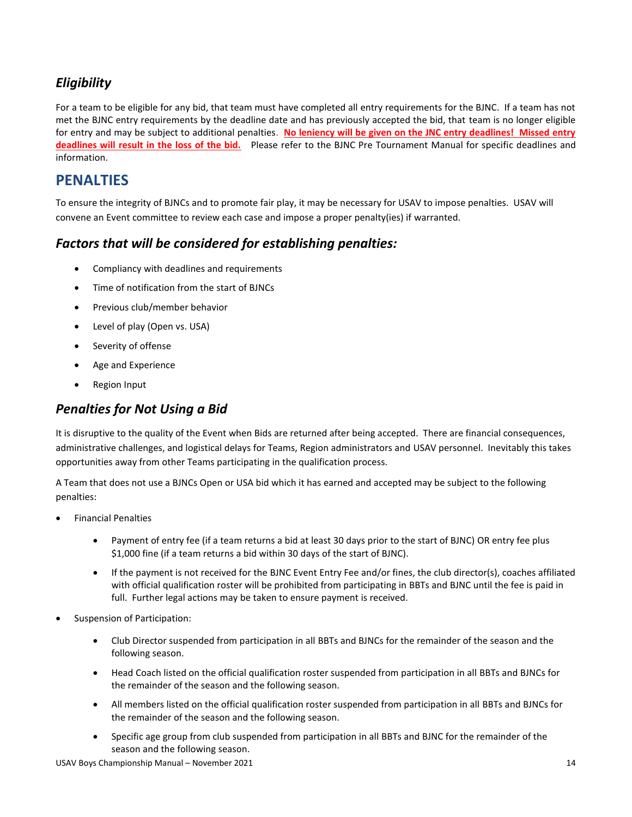### <span id="page-13-0"></span>*Eligibility*

For a team to be eligible for any bid, that team must have completed all entry requirements for the BJNC. If a team has not met the BJNC entry requirements by the deadline date and has previously accepted the bid, that team is no longer eligible for entry and may be subject to additional penalties. **No leniency will be given on the JNC entry deadlines! Missed entry deadlines will result in the loss of the bid.** Please refer to the BJNC Pre Tournament Manual for specific deadlines and information.

#### <span id="page-13-1"></span>**PENALTIES**

To ensure the integrity of BJNCs and to promote fair play, it may be necessary for USAV to impose penalties. USAV will convene an Event committee to review each case and impose a proper penalty(ies) if warranted.

#### <span id="page-13-2"></span>*Factors that will be considered for establishing penalties:*

- Compliancy with deadlines and requirements
- Time of notification from the start of BJNCs
- Previous club/member behavior
- Level of play (Open vs. USA)
- Severity of offense
- Age and Experience
- Region Input

#### <span id="page-13-3"></span>*Penalties for Not Using a Bid*

It is disruptive to the quality of the Event when Bids are returned after being accepted. There are financial consequences, administrative challenges, and logistical delays for Teams, Region administrators and USAV personnel. Inevitably this takes opportunities away from other Teams participating in the qualification process.

A Team that does not use a BJNCs Open or USA bid which it has earned and accepted may be subject to the following penalties:

- Financial Penalties
	- Payment of entry fee (if a team returns a bid at least 30 days prior to the start of BJNC) OR entry fee plus \$1,000 fine (if a team returns a bid within 30 days of the start of BJNC).
	- If the payment is not received for the BJNC Event Entry Fee and/or fines, the club director(s), coaches affiliated with official qualification roster will be prohibited from participating in BBTs and BJNC until the fee is paid in full. Further legal actions may be taken to ensure payment is received.
- Suspension of Participation:
	- Club Director suspended from participation in all BBTs and BJNCs for the remainder of the season and the following season.
	- Head Coach listed on the official qualification roster suspended from participation in all BBTs and BJNCs for the remainder of the season and the following season.
	- All members listed on the official qualification roster suspended from participation in all BBTs and BJNCs for the remainder of the season and the following season.
	- Specific age group from club suspended from participation in all BBTs and BJNC for the remainder of the season and the following season.

USAV Boys Championship Manual – November 2021 14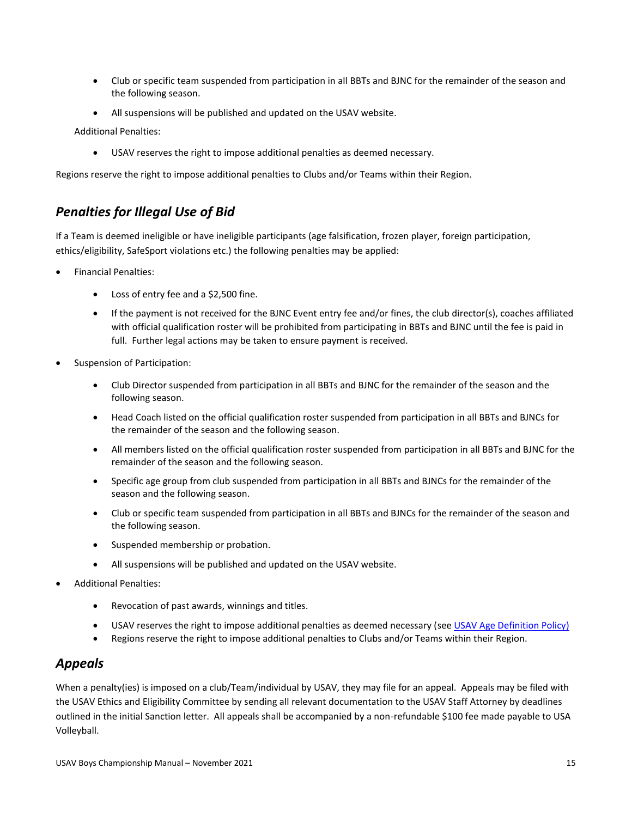- Club or specific team suspended from participation in all BBTs and BJNC for the remainder of the season and the following season.
- All suspensions will be published and updated on the USAV website.

Additional Penalties:

• USAV reserves the right to impose additional penalties as deemed necessary.

Regions reserve the right to impose additional penalties to Clubs and/or Teams within their Region.

#### <span id="page-14-0"></span>*Penalties for Illegal Use of Bid*

If a Team is deemed ineligible or have ineligible participants (age falsification, frozen player, foreign participation, ethics/eligibility, SafeSport violations etc.) the following penalties may be applied:

- Financial Penalties:
	- Loss of entry fee and a \$2,500 fine.
	- If the payment is not received for the BJNC Event entry fee and/or fines, the club director(s), coaches affiliated with official qualification roster will be prohibited from participating in BBTs and BJNC until the fee is paid in full. Further legal actions may be taken to ensure payment is received.
- Suspension of Participation:
	- Club Director suspended from participation in all BBTs and BJNC for the remainder of the season and the following season.
	- Head Coach listed on the official qualification roster suspended from participation in all BBTs and BJNCs for the remainder of the season and the following season.
	- All members listed on the official qualification roster suspended from participation in all BBTs and BJNC for the remainder of the season and the following season.
	- Specific age group from club suspended from participation in all BBTs and BJNCs for the remainder of the season and the following season.
	- Club or specific team suspended from participation in all BBTs and BJNCs for the remainder of the season and the following season.
	- Suspended membership or probation.
	- All suspensions will be published and updated on the USAV website.
- Additional Penalties:
	- Revocation of past awards, winnings and titles.
	- USAV reserves the right to impose additional penalties as deemed necessary (see [USAV Age Definition Policy\)](#page-31-0)
	- Regions reserve the right to impose additional penalties to Clubs and/or Teams within their Region.

#### <span id="page-14-1"></span>*Appeals*

When a penalty(ies) is imposed on a club/Team/individual by USAV, they may file for an appeal. Appeals may be filed with the USAV Ethics and Eligibility Committee by sending all relevant documentation to the USAV Staff Attorney by deadlines outlined in the initial Sanction letter. All appeals shall be accompanied by a non-refundable \$100 fee made payable to USA Volleyball.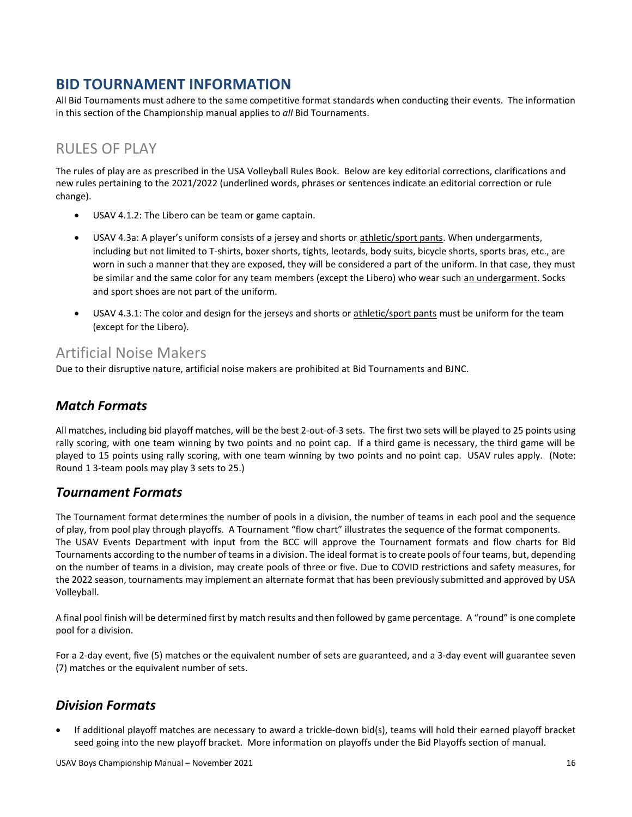### <span id="page-15-0"></span>**BID TOURNAMENT INFORMATION**

All Bid Tournaments must adhere to the same competitive format standards when conducting their events. The information in this section of the Championship manual applies to *all* Bid Tournaments.

## <span id="page-15-1"></span>RULES OF PLAY

The rules of play are as prescribed in the USA Volleyball Rules Book. Below are key editorial corrections, clarifications and new rules pertaining to the 2021/2022 (underlined words, phrases or sentences indicate an editorial correction or rule change).

- USAV 4.1.2: The Libero can be team or game captain.
- USAV 4.3a: A player's uniform consists of a jersey and shorts or athletic/sport pants. When undergarments, including but not limited to T-shirts, boxer shorts, tights, leotards, body suits, bicycle shorts, sports bras, etc., are worn in such a manner that they are exposed, they will be considered a part of the uniform. In that case, they must be similar and the same color for any team members (except the Libero) who wear such an undergarment. Socks and sport shoes are not part of the uniform.
- USAV 4.3.1: The color and design for the jerseys and shorts or athletic/sport pants must be uniform for the team (except for the Libero).

#### <span id="page-15-2"></span>Artificial Noise Makers

Due to their disruptive nature, artificial noise makers are prohibited at Bid Tournaments and BJNC.

#### <span id="page-15-3"></span>*Match Formats*

All matches, including bid playoff matches, will be the best 2-out-of-3 sets. The first two sets will be played to 25 points using rally scoring, with one team winning by two points and no point cap. If a third game is necessary, the third game will be played to 15 points using rally scoring, with one team winning by two points and no point cap. USAV rules apply. (Note: Round 1 3-team pools may play 3 sets to 25.)

#### <span id="page-15-4"></span>*Tournament Formats*

The Tournament format determines the number of pools in a division, the number of teams in each pool and the sequence of play, from pool play through playoffs. A Tournament "flow chart" illustrates the sequence of the format components. The USAV Events Department with input from the BCC will approve the Tournament formats and flow charts for Bid Tournaments according to the number of teams in a division. The ideal format is to create pools of four teams, but, depending on the number of teams in a division, may create pools of three or five. Due to COVID restrictions and safety measures, for the 2022 season, tournaments may implement an alternate format that has been previously submitted and approved by USA Volleyball.

A final pool finish will be determined first by match results and then followed by game percentage. A "round" is one complete pool for a division.

For a 2-day event, five (5) matches or the equivalent number of sets are guaranteed, and a 3-day event will guarantee seven (7) matches or the equivalent number of sets.

#### <span id="page-15-5"></span>*Division Formats*

• If additional playoff matches are necessary to award a trickle-down bid(s), teams will hold their earned playoff bracket seed going into the new playoff bracket. More information on playoffs under the Bid Playoffs section of manual.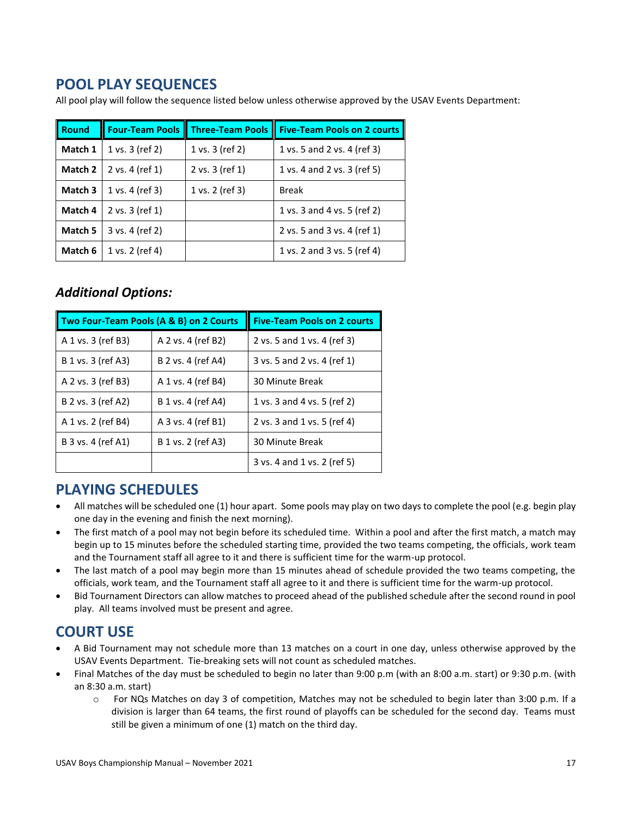### <span id="page-16-0"></span>**POOL PLAY SEQUENCES**

All pool play will follow the sequence listed below unless otherwise approved by the USAV Events Department:

| <b>Round</b> | <b>Four-Team Pools</b> | <b>Three-Team Pools</b> | Five-Team Pools on 2 courts |
|--------------|------------------------|-------------------------|-----------------------------|
| Match 1      | 1 vs. 3 (ref 2)        | 1 vs. 3 (ref 2)         | 1 vs. 5 and 2 vs. 4 (ref 3) |
| Match 2      | 2 vs. 4 (ref 1)        | 2 vs. 3 (ref 1)         | 1 vs. 4 and 2 vs. 3 (ref 5) |
| Match 3      | 1 vs. 4 (ref 3)        | 1 vs. 2 (ref 3)         | <b>Break</b>                |
| Match 4      | 2 vs. 3 (ref 1)        |                         | 1 vs. 3 and 4 vs. 5 (ref 2) |
| Match 5      | 3 vs. 4 (ref 2)        |                         | 2 vs. 5 and 3 vs. 4 (ref 1) |
| Match 6      | 1 vs. 2 (ref 4)        |                         | 1 vs. 2 and 3 vs. 5 (ref 4) |

#### <span id="page-16-1"></span>*Additional Options:*

| Two Four-Team Pools (A & B) on 2 Courts |                    | <b>Five-Team Pools on 2 courts</b> |
|-----------------------------------------|--------------------|------------------------------------|
| A 1 vs. 3 (ref B3)                      | A 2 vs. 4 (ref B2) | 2 vs. 5 and 1 vs. 4 (ref 3)        |
| B 1 vs. 3 (ref A3)                      | B 2 vs. 4 (ref A4) | 3 vs. 5 and 2 vs. 4 (ref 1)        |
| A 2 vs. 3 (ref B3)                      | A 1 vs. 4 (ref B4) | 30 Minute Break                    |
| B 2 vs. 3 (ref A2)                      | B 1 vs. 4 (ref A4) | 1 vs. 3 and 4 vs. 5 (ref 2)        |
| A 1 vs. 2 (ref B4)                      | A 3 vs. 4 (ref B1) | 2 vs. 3 and 1 vs. 5 (ref 4)        |
| B 3 vs. 4 (ref A1)                      | B 1 vs. 2 (ref A3) | 30 Minute Break                    |
|                                         |                    | 3 vs. 4 and 1 vs. 2 (ref 5)        |

### <span id="page-16-2"></span>**PLAYING SCHEDULES**

- All matches will be scheduled one (1) hour apart. Some pools may play on two days to complete the pool (e.g. begin play one day in the evening and finish the next morning).
- The first match of a pool may not begin before its scheduled time. Within a pool and after the first match, a match may begin up to 15 minutes before the scheduled starting time, provided the two teams competing, the officials, work team and the Tournament staff all agree to it and there is sufficient time for the warm-up protocol.
- The last match of a pool may begin more than 15 minutes ahead of schedule provided the two teams competing, the officials, work team, and the Tournament staff all agree to it and there is sufficient time for the warm-up protocol.
- Bid Tournament Directors can allow matches to proceed ahead of the published schedule after the second round in pool play. All teams involved must be present and agree.

## <span id="page-16-3"></span>**COURT USE**

- A Bid Tournament may not schedule more than 13 matches on a court in one day, unless otherwise approved by the USAV Events Department. Tie-breaking sets will not count as scheduled matches.
- Final Matches of the day must be scheduled to begin no later than 9:00 p.m (with an 8:00 a.m. start) or 9:30 p.m. (with an 8:30 a.m. start)
	- o For NQs Matches on day 3 of competition, Matches may not be scheduled to begin later than 3:00 p.m. If a division is larger than 64 teams, the first round of playoffs can be scheduled for the second day. Teams must still be given a minimum of one (1) match on the third day.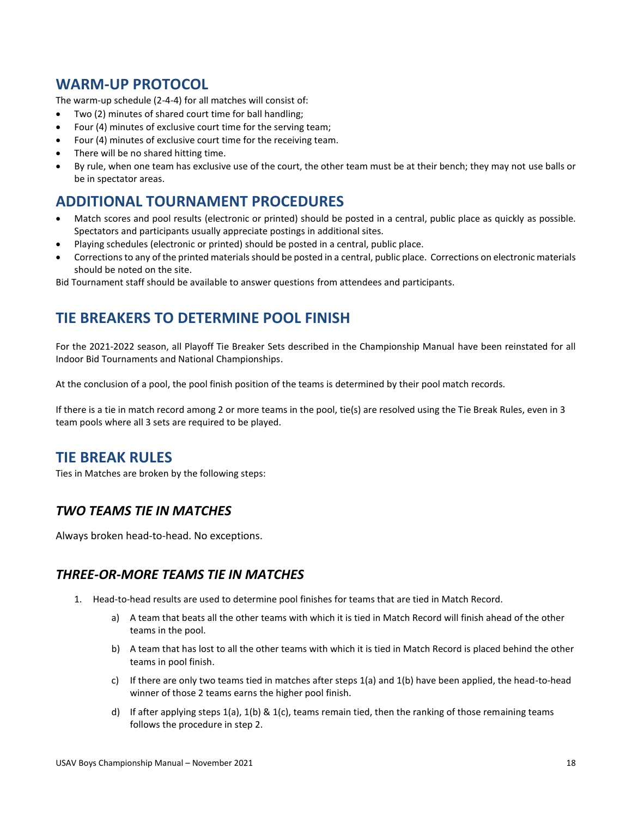#### <span id="page-17-0"></span>**WARM-UP PROTOCOL**

The warm-up schedule (2-4-4) for all matches will consist of:

- Two (2) minutes of shared court time for ball handling;
- Four (4) minutes of exclusive court time for the serving team;
- Four (4) minutes of exclusive court time for the receiving team.
- There will be no shared hitting time.
- By rule, when one team has exclusive use of the court, the other team must be at their bench; they may not use balls or be in spectator areas.

### <span id="page-17-1"></span>**ADDITIONAL TOURNAMENT PROCEDURES**

- Match scores and pool results (electronic or printed) should be posted in a central, public place as quickly as possible. Spectators and participants usually appreciate postings in additional sites.
- Playing schedules (electronic or printed) should be posted in a central, public place.
- Corrections to any of the printed materials should be posted in a central, public place. Corrections on electronic materials should be noted on the site.

Bid Tournament staff should be available to answer questions from attendees and participants.

### <span id="page-17-2"></span>**TIE BREAKERS TO DETERMINE POOL FINISH**

For the 2021-2022 season, all Playoff Tie Breaker Sets described in the Championship Manual have been reinstated for all Indoor Bid Tournaments and National Championships.

At the conclusion of a pool, the pool finish position of the teams is determined by their pool match records.

If there is a tie in match record among 2 or more teams in the pool, tie(s) are resolved using the Tie Break Rules, even in 3 team pools where all 3 sets are required to be played.

#### <span id="page-17-3"></span>**TIE BREAK RULES**

Ties in Matches are broken by the following steps:

#### <span id="page-17-4"></span>*TWO TEAMS TIE IN MATCHES*

Always broken head-to-head. No exceptions.

#### <span id="page-17-5"></span>*THREE-OR-MORE TEAMS TIE IN MATCHES*

- 1. Head-to-head results are used to determine pool finishes for teams that are tied in Match Record.
	- a) A team that beats all the other teams with which it is tied in Match Record will finish ahead of the other teams in the pool.
	- b) A team that has lost to all the other teams with which it is tied in Match Record is placed behind the other teams in pool finish.
	- c) If there are only two teams tied in matches after steps  $1(a)$  and  $1(b)$  have been applied, the head-to-head winner of those 2 teams earns the higher pool finish.
	- d) If after applying steps  $1(a)$ ,  $1(b)$  &  $1(c)$ , teams remain tied, then the ranking of those remaining teams follows the procedure in step 2.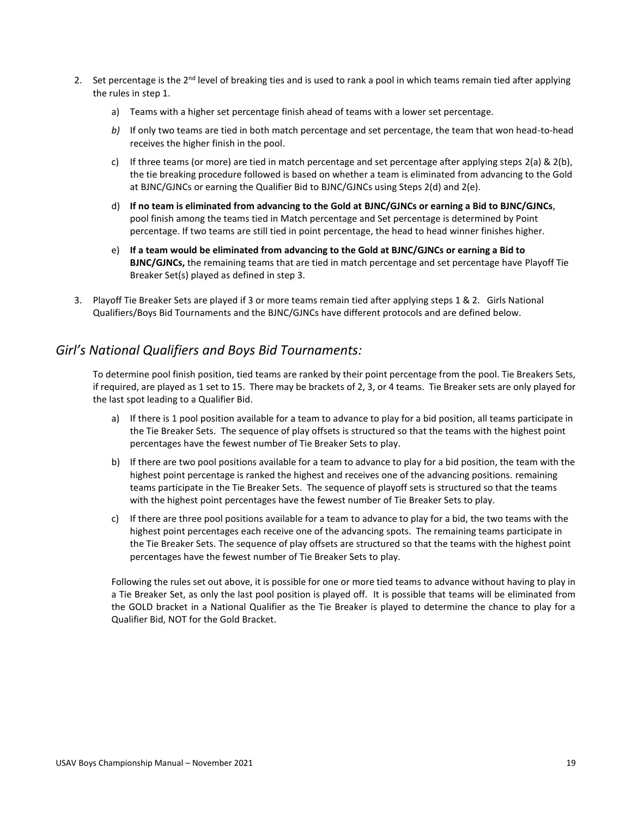- 2. Set percentage is the  $2^{nd}$  level of breaking ties and is used to rank a pool in which teams remain tied after applying the rules in step 1.
	- a) Teams with a higher set percentage finish ahead of teams with a lower set percentage.
	- *b)* If only two teams are tied in both match percentage and set percentage, the team that won head-to-head receives the higher finish in the pool.
	- c) If three teams (or more) are tied in match percentage and set percentage after applying steps 2(a) & 2(b), the tie breaking procedure followed is based on whether a team is eliminated from advancing to the Gold at BJNC/GJNCs or earning the Qualifier Bid to BJNC/GJNCs using Steps 2(d) and 2(e).
	- d) **If no team is eliminated from advancing to the Gold at BJNC/GJNCs or earning a Bid to BJNC/GJNCs**, pool finish among the teams tied in Match percentage and Set percentage is determined by Point percentage. If two teams are still tied in point percentage, the head to head winner finishes higher.
	- e) **If a team would be eliminated from advancing to the Gold at BJNC/GJNCs or earning a Bid to BJNC/GJNCs,** the remaining teams that are tied in match percentage and set percentage have Playoff Tie Breaker Set(s) played as defined in step 3.
- 3. Playoff Tie Breaker Sets are played if 3 or more teams remain tied after applying steps 1 & 2. Girls National Qualifiers/Boys Bid Tournaments and the BJNC/GJNCs have different protocols and are defined below.

#### <span id="page-18-0"></span>*Girl's National Qualifiers and Boys Bid Tournaments:*

To determine pool finish position, tied teams are ranked by their point percentage from the pool. Tie Breakers Sets, if required, are played as 1 set to 15. There may be brackets of 2, 3, or 4 teams. Tie Breaker sets are only played for the last spot leading to a Qualifier Bid.

- a) If there is 1 pool position available for a team to advance to play for a bid position, all teams participate in the Tie Breaker Sets. The sequence of play offsets is structured so that the teams with the highest point percentages have the fewest number of Tie Breaker Sets to play.
- b) If there are two pool positions available for a team to advance to play for a bid position, the team with the highest point percentage is ranked the highest and receives one of the advancing positions. remaining teams participate in the Tie Breaker Sets. The sequence of playoff sets is structured so that the teams with the highest point percentages have the fewest number of Tie Breaker Sets to play.
- c) If there are three pool positions available for a team to advance to play for a bid, the two teams with the highest point percentages each receive one of the advancing spots. The remaining teams participate in the Tie Breaker Sets. The sequence of play offsets are structured so that the teams with the highest point percentages have the fewest number of Tie Breaker Sets to play.

Following the rules set out above, it is possible for one or more tied teams to advance without having to play in a Tie Breaker Set, as only the last pool position is played off. It is possible that teams will be eliminated from the GOLD bracket in a National Qualifier as the Tie Breaker is played to determine the chance to play for a Qualifier Bid, NOT for the Gold Bracket.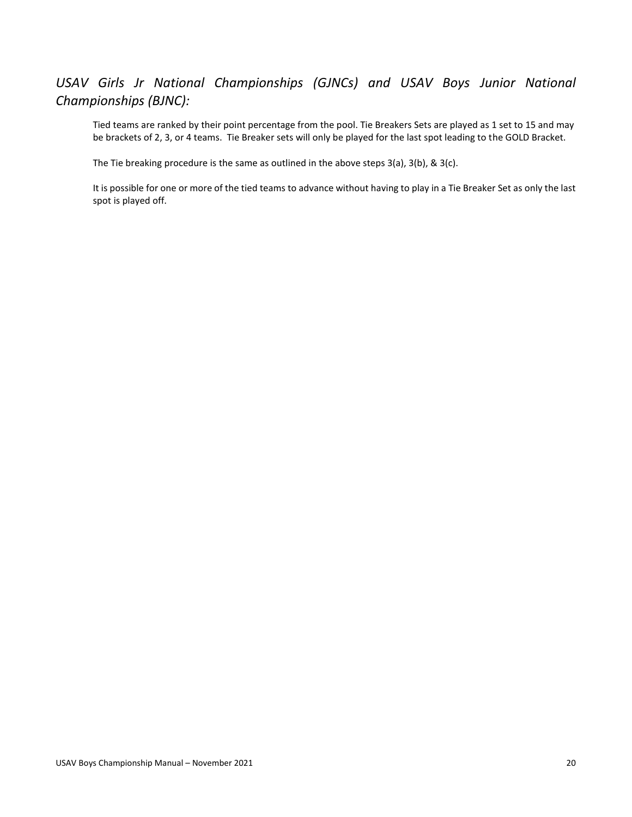### <span id="page-19-0"></span>*USAV Girls Jr National Championships (GJNCs) and USAV Boys Junior National Championships (BJNC):*

Tied teams are ranked by their point percentage from the pool. Tie Breakers Sets are played as 1 set to 15 and may be brackets of 2, 3, or 4 teams. Tie Breaker sets will only be played for the last spot leading to the GOLD Bracket.

The Tie breaking procedure is the same as outlined in the above steps  $3(a)$ ,  $3(b)$ , &  $3(c)$ .

It is possible for one or more of the tied teams to advance without having to play in a Tie Breaker Set as only the last spot is played off.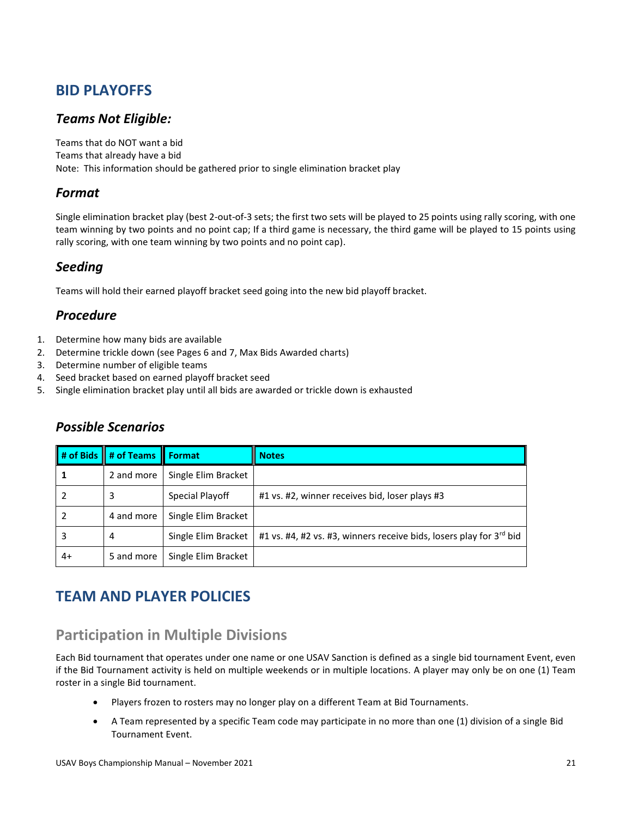## <span id="page-20-0"></span>**BID PLAYOFFS**

#### <span id="page-20-1"></span>*Teams Not Eligible:*

Teams that do NOT want a bid Teams that already have a bid Note: This information should be gathered prior to single elimination bracket play

#### <span id="page-20-2"></span>*Format*

Single elimination bracket play (best 2-out-of-3 sets; the first two sets will be played to 25 points using rally scoring, with one team winning by two points and no point cap; If a third game is necessary, the third game will be played to 15 points using rally scoring, with one team winning by two points and no point cap).

#### <span id="page-20-3"></span>*Seeding*

Teams will hold their earned playoff bracket seed going into the new bid playoff bracket.

#### <span id="page-20-4"></span>*Procedure*

- 1. Determine how many bids are available
- 2. Determine trickle down (see Pages 6 and 7, Max Bids Awarded charts)
- 3. Determine number of eligible teams
- 4. Seed bracket based on earned playoff bracket seed
- 5. Single elimination bracket play until all bids are awarded or trickle down is exhausted

#### <span id="page-20-5"></span>*Possible Scenarios*

|    | # of Bids # of Teams Format |                     | <b>Notes</b>                                                        |
|----|-----------------------------|---------------------|---------------------------------------------------------------------|
|    | 2 and more                  | Single Elim Bracket |                                                                     |
|    | 3                           | Special Playoff     | #1 vs. #2, winner receives bid, loser plays #3                      |
|    | 4 and more                  | Single Elim Bracket |                                                                     |
| 3  | 4                           | Single Elim Bracket | #1 vs. #4, #2 vs. #3, winners receive bids, losers play for 3rd bid |
| 4+ | 5 and more                  | Single Elim Bracket |                                                                     |

## <span id="page-20-6"></span>**TEAM AND PLAYER POLICIES**

### <span id="page-20-7"></span>**Participation in Multiple Divisions**

Each Bid tournament that operates under one name or one USAV Sanction is defined as a single bid tournament Event, even if the Bid Tournament activity is held on multiple weekends or in multiple locations. A player may only be on one (1) Team roster in a single Bid tournament.

- Players frozen to rosters may no longer play on a different Team at Bid Tournaments.
- A Team represented by a specific Team code may participate in no more than one (1) division of a single Bid Tournament Event.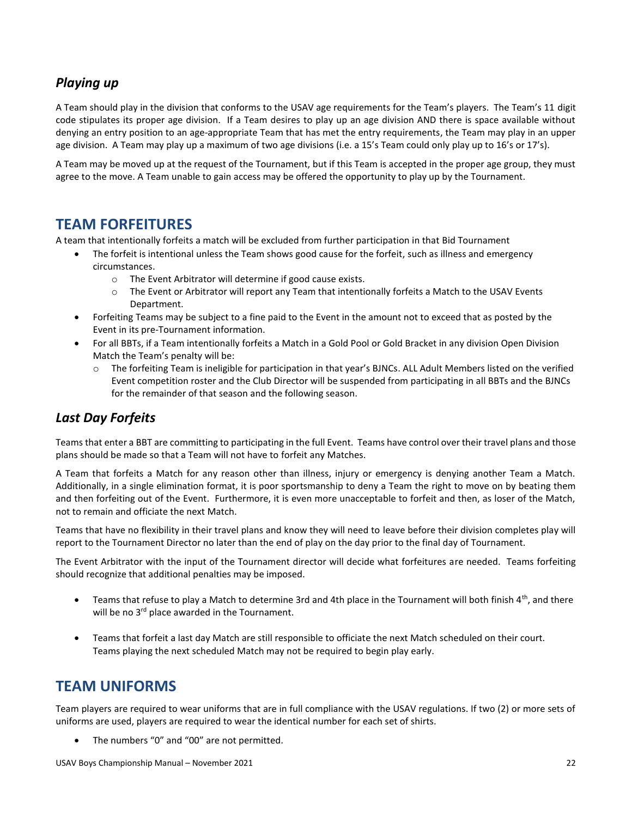#### <span id="page-21-0"></span>*Playing up*

A Team should play in the division that conforms to the USAV age requirements for the Team's players. The Team's 11 digit code stipulates its proper age division. If a Team desires to play up an age division AND there is space available without denying an entry position to an age-appropriate Team that has met the entry requirements, the Team may play in an upper age division. A Team may play up a maximum of two age divisions (i.e. a 15's Team could only play up to 16's or 17's).

A Team may be moved up at the request of the Tournament, but if this Team is accepted in the proper age group, they must agree to the move. A Team unable to gain access may be offered the opportunity to play up by the Tournament.

### <span id="page-21-1"></span>**TEAM FORFEITURES**

A team that intentionally forfeits a match will be excluded from further participation in that Bid Tournament

- The forfeit is intentional unless the Team shows good cause for the forfeit, such as illness and emergency circumstances.
	- o The Event Arbitrator will determine if good cause exists.
	- $\circ$  The Event or Arbitrator will report any Team that intentionally forfeits a Match to the USAV Events Department.
- Forfeiting Teams may be subject to a fine paid to the Event in the amount not to exceed that as posted by the Event in its pre-Tournament information.
- For all BBTs, if a Team intentionally forfeits a Match in a Gold Pool or Gold Bracket in any division Open Division Match the Team's penalty will be:
	- o The forfeiting Team is ineligible for participation in that year's BJNCs. ALL Adult Members listed on the verified Event competition roster and the Club Director will be suspended from participating in all BBTs and the BJNCs for the remainder of that season and the following season.

#### <span id="page-21-2"></span>*Last Day Forfeits*

Teams that enter a BBT are committing to participating in the full Event. Teams have control over their travel plans and those plans should be made so that a Team will not have to forfeit any Matches.

A Team that forfeits a Match for any reason other than illness, injury or emergency is denying another Team a Match. Additionally, in a single elimination format, it is poor sportsmanship to deny a Team the right to move on by beating them and then forfeiting out of the Event. Furthermore, it is even more unacceptable to forfeit and then, as loser of the Match, not to remain and officiate the next Match.

Teams that have no flexibility in their travel plans and know they will need to leave before their division completes play will report to the Tournament Director no later than the end of play on the day prior to the final day of Tournament.

The Event Arbitrator with the input of the Tournament director will decide what forfeitures are needed. Teams forfeiting should recognize that additional penalties may be imposed.

- Teams that refuse to play a Match to determine 3rd and 4th place in the Tournament will both finish  $4<sup>th</sup>$ , and there will be no 3<sup>rd</sup> place awarded in the Tournament.
- Teams that forfeit a last day Match are still responsible to officiate the next Match scheduled on their court. Teams playing the next scheduled Match may not be required to begin play early.

### <span id="page-21-3"></span>**TEAM UNIFORMS**

Team players are required to wear uniforms that are in full compliance with the USAV regulations. If two (2) or more sets of uniforms are used, players are required to wear the identical number for each set of shirts.

The numbers "0" and "00" are not permitted.

USAV Boys Championship Manual – November 2021 22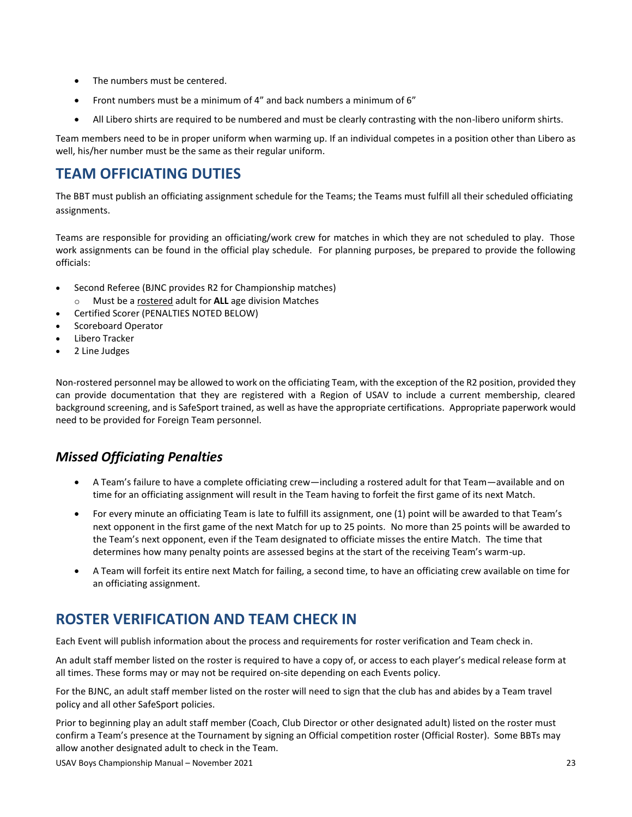- The numbers must be centered.
- Front numbers must be a minimum of 4" and back numbers a minimum of 6"
- All Libero shirts are required to be numbered and must be clearly contrasting with the non-libero uniform shirts.

Team members need to be in proper uniform when warming up. If an individual competes in a position other than Libero as well, his/her number must be the same as their regular uniform.

### <span id="page-22-0"></span>**TEAM OFFICIATING DUTIES**

The BBT must publish an officiating assignment schedule for the Teams; the Teams must fulfill all their scheduled officiating assignments.

Teams are responsible for providing an officiating/work crew for matches in which they are not scheduled to play. Those work assignments can be found in the official play schedule. For planning purposes, be prepared to provide the following officials:

- Second Referee (BJNC provides R2 for Championship matches)
- o Must be a rostered adult for **ALL** age division Matches
- Certified Scorer (PENALTIES NOTED BELOW)
- Scoreboard Operator
- Libero Tracker
- 2 Line Judges

Non-rostered personnel may be allowed to work on the officiating Team, with the exception of the R2 position, provided they can provide documentation that they are registered with a Region of USAV to include a current membership, cleared background screening, and is SafeSport trained, as well as have the appropriate certifications. Appropriate paperwork would need to be provided for Foreign Team personnel.

### <span id="page-22-1"></span>*Missed Officiating Penalties*

- A Team's failure to have a complete officiating crew—including a rostered adult for that Team—available and on time for an officiating assignment will result in the Team having to forfeit the first game of its next Match.
- For every minute an officiating Team is late to fulfill its assignment, one (1) point will be awarded to that Team's next opponent in the first game of the next Match for up to 25 points. No more than 25 points will be awarded to the Team's next opponent, even if the Team designated to officiate misses the entire Match. The time that determines how many penalty points are assessed begins at the start of the receiving Team's warm-up.
- A Team will forfeit its entire next Match for failing, a second time, to have an officiating crew available on time for an officiating assignment.

## <span id="page-22-2"></span>**ROSTER VERIFICATION AND TEAM CHECK IN**

Each Event will publish information about the process and requirements for roster verification and Team check in.

An adult staff member listed on the roster is required to have a copy of, or access to each player's medical release form at all times. These forms may or may not be required on-site depending on each Events policy.

For the BJNC, an adult staff member listed on the roster will need to sign that the club has and abides by a Team travel policy and all other SafeSport policies.

Prior to beginning play an adult staff member (Coach, Club Director or other designated adult) listed on the roster must confirm a Team's presence at the Tournament by signing an Official competition roster (Official Roster). Some BBTs may allow another designated adult to check in the Team.

USAV Boys Championship Manual – November 2021 23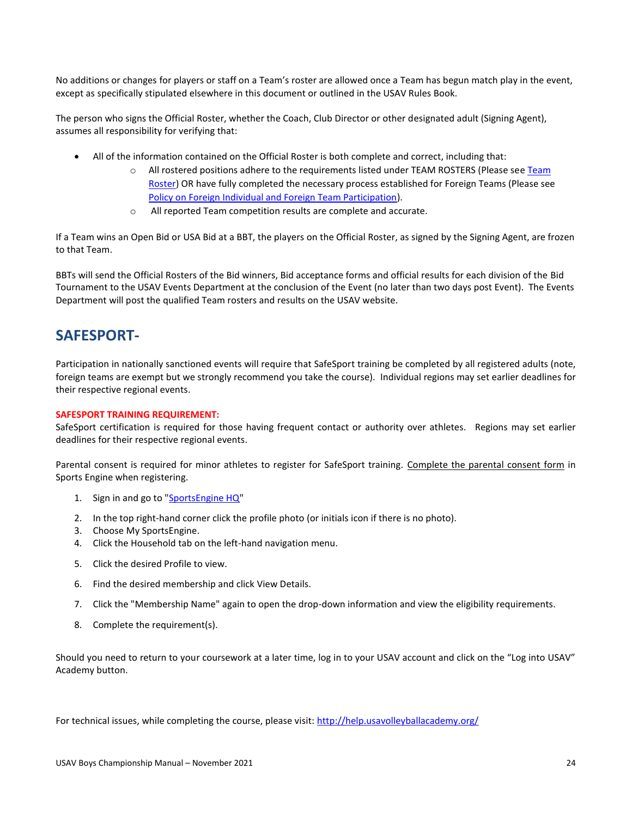No additions or changes for players or staff on a Team's roster are allowed once a Team has begun match play in the event, except as specifically stipulated elsewhere in this document or outlined in the USAV Rules Book.

The person who signs the Official Roster, whether the Coach, Club Director or other designated adult (Signing Agent), assumes all responsibility for verifying that:

- All of the information contained on the Official Roster is both complete and correct, including that:
	- o All rostered positions adhere to the requirements listed under TEAM ROSTERS (Please see Team [Roster\)](#page-24-1) OR have fully completed the necessary process established for Foreign Teams (Please see [Policy on Foreign Individual and Foreign Team Participation\)](#page-26-2).
	- o All reported Team competition results are complete and accurate.

If a Team wins an Open Bid or USA Bid at a BBT, the players on the Official Roster, as signed by the Signing Agent, are frozen to that Team.

BBTs will send the Official Rosters of the Bid winners, Bid acceptance forms and official results for each division of the Bid Tournament to the USAV Events Department at the conclusion of the Event (no later than two days post Event). The Events Department will post the qualified Team rosters and results on the USAV website.

### <span id="page-23-0"></span>**SAFESPORT-**

Participation in nationally sanctioned events will require that SafeSport training be completed by all registered adults (note, foreign teams are exempt but we strongly recommend you take the course). Individual regions may set earlier deadlines for their respective regional events.

#### **SAFESPORT TRAINING REQUIREMENT:**

SafeSport certification is required for those having frequent contact or authority over athletes. Regions may set earlier deadlines for their respective regional events.

Parental consent is required for minor athletes to register for SafeSport training. [Complete the parental consent form](https://fs28.formsite.com/USAVolleyball/SSConsentform/index.html) in Sports Engine when registering.

- 1. Sign in and go to ["SportsEngine HQ"](https://user.sportngin.com/users/sign_in)
- 2. In the top right-hand corner click the profile photo (or initials icon if there is no photo).
- 3. Choose My SportsEngine.
- 4. Click the Household tab on the left-hand navigation menu.
- 5. Click the desired Profile to view.
- 6. Find the desired membership and click View Details.
- 7. Click the "Membership Name" again to open the drop-down information and view the eligibility requirements.
- 8. Complete the requirement(s).

Should you need to return to your coursework at a later time, log in to your USAV account and click on the "Log into USAV" Academy button.

For technical issues, while completing the course, please visit:<http://help.usavolleyballacademy.org/>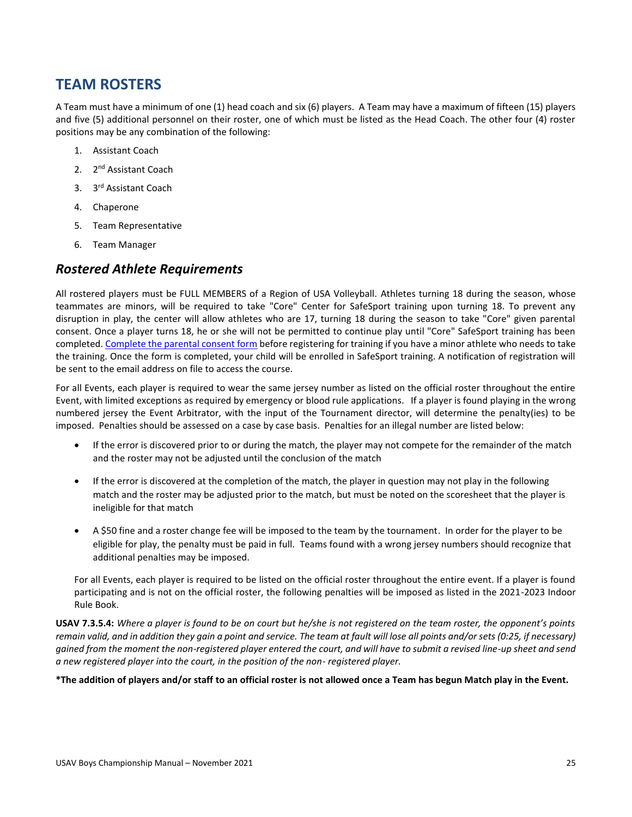### <span id="page-24-0"></span>**TEAM ROSTERS**

A Team must have a minimum of one (1) head coach and six (6) players. A Team may have a maximum of fifteen (15) players and five (5) additional personnel on their roster, one of which must be listed as the Head Coach. The other four (4) roster positions may be any combination of the following:

- 1. Assistant Coach
- 2. 2<sup>nd</sup> Assistant Coach
- 3. 3 rd Assistant Coach
- 4. Chaperone
- 5. Team Representative
- 6. Team Manager

#### <span id="page-24-1"></span>*Rostered Athlete Requirements*

All rostered players must be FULL MEMBERS of a Region of USA Volleyball. Athletes turning 18 during the season, whose teammates are minors, will be required to take "Core" Center for SafeSport training upon turning 18. To prevent any disruption in play, the center will allow athletes who are 17, turning 18 during the season to take "Core" given parental consent. Once a player turns 18, he or she will not be permitted to continue play until "Core" SafeSport training has been completed[. Complete the parental consent form](https://fs28.formsite.com/USAVolleyball/SSConsentform/index.html) before registering for training if you have a minor athlete who needs to take the training. Once the form is completed, your child will be enrolled in SafeSport training. A notification of registration will be sent to the email address on file to access the course.

For all Events, each player is required to wear the same jersey number as listed on the official roster throughout the entire Event, with limited exceptions as required by emergency or blood rule applications. If a player is found playing in the wrong numbered jersey the Event Arbitrator, with the input of the Tournament director, will determine the penalty(ies) to be imposed. Penalties should be assessed on a case by case basis. Penalties for an illegal number are listed below:

- If the error is discovered prior to or during the match, the player may not compete for the remainder of the match and the roster may not be adjusted until the conclusion of the match
- If the error is discovered at the completion of the match, the player in question may not play in the following match and the roster may be adjusted prior to the match, but must be noted on the scoresheet that the player is ineligible for that match
- A \$50 fine and a roster change fee will be imposed to the team by the tournament. In order for the player to be eligible for play, the penalty must be paid in full. Teams found with a wrong jersey numbers should recognize that additional penalties may be imposed.

For all Events, each player is required to be listed on the official roster throughout the entire event. If a player is found participating and is not on the official roster, the following penalties will be imposed as listed in the 2021-2023 Indoor Rule Book.

**USAV 7.3.5.4:** *Where a player is found to be on court but he/she is not registered on the team roster, the opponent's points remain valid, and in addition they gain a point and service. The team at fault will lose all points and/or sets (0:25, if necessary) gained from the moment the non-registered player entered the court, and will have to submit a revised line-up sheet and send a new registered player into the court, in the position of the non- registered player.*

**\*The addition of players and/or staff to an official roster is not allowed once a Team has begun Match play in the Event.**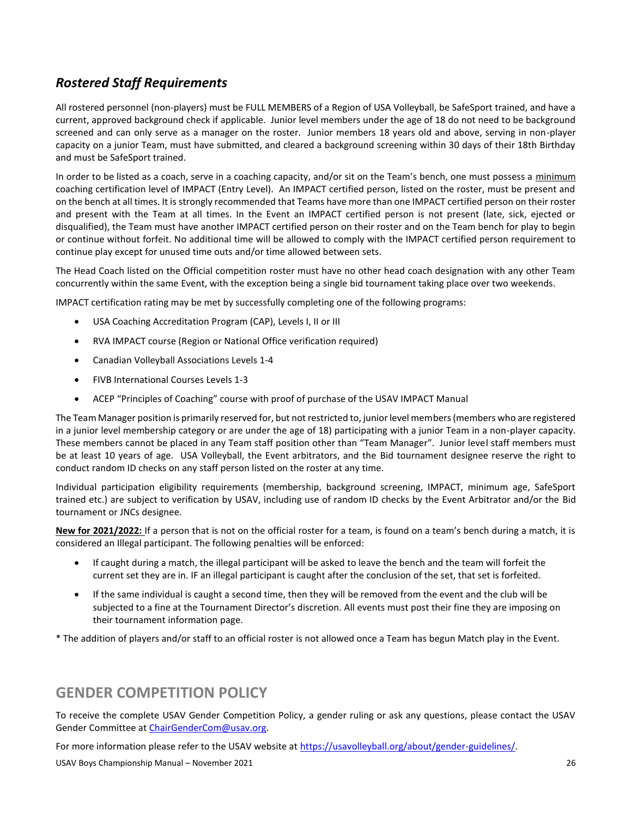### <span id="page-25-0"></span>*Rostered Staff Requirements*

All rostered personnel (non-players) must be FULL MEMBERS of a Region of USA Volleyball, be SafeSport trained, and have a current, approved background check if applicable. Junior level members under the age of 18 do not need to be background screened and can only serve as a manager on the roster. Junior members 18 years old and above, serving in non-player capacity on a junior Team, must have submitted, and cleared a background screening within 30 days of their 18th Birthday and must be SafeSport trained.

In order to be listed as a coach, serve in a coaching capacity, and/or sit on the Team's bench, one must possess a minimum coaching certification level of IMPACT (Entry Level). An IMPACT certified person, listed on the roster, must be present and on the bench at all times. It is strongly recommended that Teams have more than one IMPACT certified person on their roster and present with the Team at all times. In the Event an IMPACT certified person is not present (late, sick, ejected or disqualified), the Team must have another IMPACT certified person on their roster and on the Team bench for play to begin or continue without forfeit. No additional time will be allowed to comply with the IMPACT certified person requirement to continue play except for unused time outs and/or time allowed between sets.

The Head Coach listed on the Official competition roster must have no other head coach designation with any other Team concurrently within the same Event, with the exception being a single bid tournament taking place over two weekends.

IMPACT certification rating may be met by successfully completing one of the following programs:

- USA Coaching Accreditation Program (CAP), Levels I, II or III
- RVA IMPACT course (Region or National Office verification required)
- Canadian Volleyball Associations Levels 1-4
- FIVB International Courses Levels 1-3
- ACEP "Principles of Coaching" course with proof of purchase of the USAV IMPACT Manual

The Team Manager position is primarily reserved for, but not restricted to, junior level members (members who are registered in a junior level membership category or are under the age of 18) participating with a junior Team in a non-player capacity. These members cannot be placed in any Team staff position other than "Team Manager". Junior level staff members must be at least 10 years of age. USA Volleyball, the Event arbitrators, and the Bid tournament designee reserve the right to conduct random ID checks on any staff person listed on the roster at any time.

Individual participation eligibility requirements (membership, background screening, IMPACT, minimum age, SafeSport trained etc.) are subject to verification by USAV, including use of random ID checks by the Event Arbitrator and/or the Bid tournament or JNCs designee.

**New for 2021/2022:** If a person that is not on the official roster for a team, is found on a team's bench during a match, it is considered an Illegal participant. The following penalties will be enforced:

- If caught during a match, the illegal participant will be asked to leave the bench and the team will forfeit the current set they are in. IF an illegal participant is caught after the conclusion of the set, that set is forfeited.
- If the same individual is caught a second time, then they will be removed from the event and the club will be subjected to a fine at the Tournament Director's discretion. All events must post their fine they are imposing on their tournament information page.

\* The addition of players and/or staff to an official roster is not allowed once a Team has begun Match play in the Event.

### <span id="page-25-1"></span>**GENDER COMPETITION POLICY**

To receive the complete USAV Gender Competition Policy, a gender ruling or ask any questions, please contact the USAV Gender Committee a[t ChairGenderCom@usav.org.](mailto:ChairGenderCom@usav.org)

For more information please refer to the USAV website at [https://usavolleyball.org/about/gender-guidelines/.](https://usavolleyball.org/about/gender-guidelines/)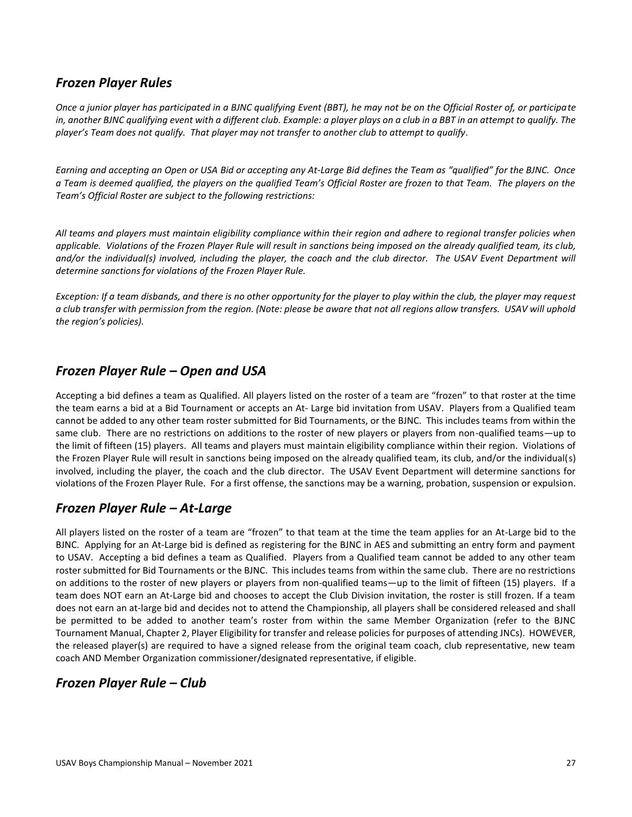#### <span id="page-26-0"></span>*Frozen Player Rules*

*Once a junior player has participated in a BJNC qualifying Event (BBT), he may not be on the Official Roster of, or participate in, another BJNC qualifying event with a different club. Example: a player plays on a club in a BBT in an attempt to qualify. The player's Team does not qualify. That player may not transfer to another club to attempt to qualify.* 

*Earning and accepting an Open or USA Bid or accepting any At-Large Bid defines the Team as "qualified" for the BJNC. Once a Team is deemed qualified, the players on the qualified Team's Official Roster are frozen to that Team. The players on the Team's Official Roster are subject to the following restrictions:* 

*All teams and players must maintain eligibility compliance within their region and adhere to regional transfer policies when applicable. Violations of the Frozen Player Rule will result in sanctions being imposed on the already qualified team, its club, and/or the individual(s) involved, including the player, the coach and the club director. The USAV Event Department will determine sanctions for violations of the Frozen Player Rule.* 

*Exception: If a team disbands, and there is no other opportunity for the player to play within the club, the player may request a club transfer with permission from the region. (Note: please be aware that not all regions allow transfers. USAV will uphold the region's policies).*

#### <span id="page-26-1"></span>*Frozen Player Rule – Open and USA*

Accepting a bid defines a team as Qualified. All players listed on the roster of a team are "frozen" to that roster at the time the team earns a bid at a Bid Tournament or accepts an At- Large bid invitation from USAV. Players from a Qualified team cannot be added to any other team roster submitted for Bid Tournaments, or the BJNC. This includes teams from within the same club. There are no restrictions on additions to the roster of new players or players from non-qualified teams—up to the limit of fifteen (15) players. All teams and players must maintain eligibility compliance within their region. Violations of the Frozen Player Rule will result in sanctions being imposed on the already qualified team, its club, and/or the individual(s) involved, including the player, the coach and the club director. The USAV Event Department will determine sanctions for violations of the Frozen Player Rule. For a first offense, the sanctions may be a warning, probation, suspension or expulsion.

#### <span id="page-26-2"></span>*Frozen Player Rule – At-Large*

All players listed on the roster of a team are "frozen" to that team at the time the team applies for an At-Large bid to the BJNC. Applying for an At-Large bid is defined as registering for the BJNC in AES and submitting an entry form and payment to USAV. Accepting a bid defines a team as Qualified. Players from a Qualified team cannot be added to any other team roster submitted for Bid Tournaments or the BJNC. This includes teams from within the same club. There are no restrictions on additions to the roster of new players or players from non-qualified teams—up to the limit of fifteen (15) players. If a team does NOT earn an At-Large bid and chooses to accept the Club Division invitation, the roster is still frozen. If a team does not earn an at-large bid and decides not to attend the Championship, all players shall be considered released and shall be permitted to be added to another team's roster from within the same Member Organization (refer to the BJNC Tournament Manual, Chapter 2, Player Eligibility for transfer and release policies for purposes of attending JNCs). HOWEVER, the released player(s) are required to have a signed release from the original team coach, club representative, new team coach AND Member Organization commissioner/designated representative, if eligible.

#### <span id="page-26-3"></span>*Frozen Player Rule – Club*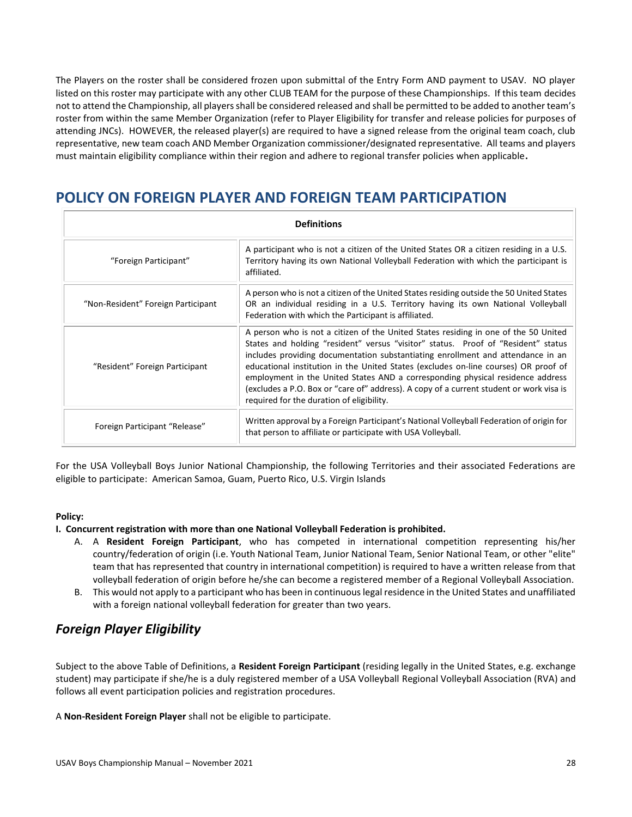The Players on the roster shall be considered frozen upon submittal of the Entry Form AND payment to USAV. NO player listed on this roster may participate with any other CLUB TEAM for the purpose of these Championships. If this team decides not to attend the Championship, all players shall be considered released and shall be permitted to be added to another team's roster from within the same Member Organization (refer to Player Eligibility for transfer and release policies for purposes of attending JNCs). HOWEVER, the released player(s) are required to have a signed release from the original team coach, club representative, new team coach AND Member Organization commissioner/designated representative. All teams and players must maintain eligibility compliance within their region and adhere to regional transfer policies when applicable**.**

## <span id="page-27-0"></span>**POLICY ON FOREIGN PLAYER AND FOREIGN TEAM PARTICIPATION**

| <b>Definitions</b>                 |                                                                                                                                                                                                                                                                                                                                                                                                                                                                                                                                                                              |  |  |  |  |
|------------------------------------|------------------------------------------------------------------------------------------------------------------------------------------------------------------------------------------------------------------------------------------------------------------------------------------------------------------------------------------------------------------------------------------------------------------------------------------------------------------------------------------------------------------------------------------------------------------------------|--|--|--|--|
| "Foreign Participant"              | A participant who is not a citizen of the United States OR a citizen residing in a U.S.<br>Territory having its own National Volleyball Federation with which the participant is<br>affiliated.                                                                                                                                                                                                                                                                                                                                                                              |  |  |  |  |
| "Non-Resident" Foreign Participant | A person who is not a citizen of the United States residing outside the 50 United States<br>OR an individual residing in a U.S. Territory having its own National Volleyball<br>Federation with which the Participant is affiliated.                                                                                                                                                                                                                                                                                                                                         |  |  |  |  |
| "Resident" Foreign Participant     | A person who is not a citizen of the United States residing in one of the 50 United<br>States and holding "resident" versus "visitor" status. Proof of "Resident" status<br>includes providing documentation substantiating enrollment and attendance in an<br>educational institution in the United States (excludes on-line courses) OR proof of<br>employment in the United States AND a corresponding physical residence address<br>(excludes a P.O. Box or "care of" address). A copy of a current student or work visa is<br>required for the duration of eligibility. |  |  |  |  |
| Foreign Participant "Release"      | Written approval by a Foreign Participant's National Volleyball Federation of origin for<br>that person to affiliate or participate with USA Volleyball.                                                                                                                                                                                                                                                                                                                                                                                                                     |  |  |  |  |

For the USA Volleyball Boys Junior National Championship, the following Territories and their associated Federations are eligible to participate: American Samoa, Guam, Puerto Rico, U.S. Virgin Islands

#### **Policy:**

#### **I. Concurrent registration with more than one National Volleyball Federation is prohibited.**

- A. A **Resident Foreign Participant**, who has competed in international competition representing his/her country/federation of origin (i.e. Youth National Team, Junior National Team, Senior National Team, or other "elite" team that has represented that country in international competition) is required to have a written release from that volleyball federation of origin before he/she can become a registered member of a Regional Volleyball Association.
- B. This would not apply to a participant who has been in continuous legal residence in the United States and unaffiliated with a foreign national volleyball federation for greater than two years.

### <span id="page-27-1"></span>*Foreign Player Eligibility*

Subject to the above Table of Definitions, a **Resident Foreign Participant** (residing legally in the United States, e.g. exchange student) may participate if she/he is a duly registered member of a USA Volleyball Regional Volleyball Association (RVA) and follows all event participation policies and registration procedures.

A **Non-Resident Foreign Player** shall not be eligible to participate.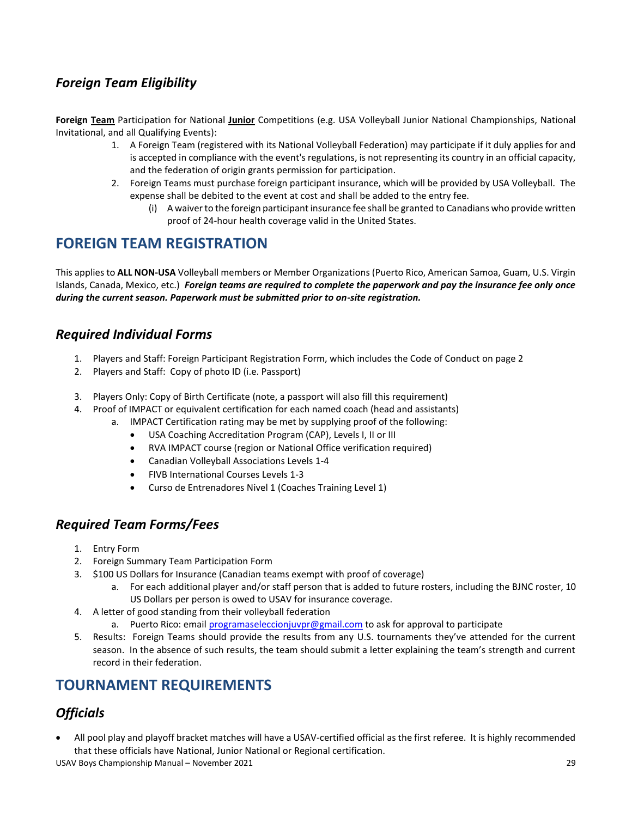### <span id="page-28-0"></span>*Foreign Team Eligibility*

**Foreign Team** Participation for National **Junior** Competitions (e.g. USA Volleyball Junior National Championships, National Invitational, and all Qualifying Events):

- 1. A Foreign Team (registered with its National Volleyball Federation) may participate if it duly applies for and is accepted in compliance with the event's regulations, is not representing its country in an official capacity, and the federation of origin grants permission for participation.
- 2. Foreign Teams must purchase foreign participant insurance, which will be provided by USA Volleyball. The expense shall be debited to the event at cost and shall be added to the entry fee.
	- (i) A waiver to the foreign participant insurance fee shall be granted to Canadians who provide written proof of 24-hour health coverage valid in the United States.

### <span id="page-28-1"></span>**FOREIGN TEAM REGISTRATION**

This applies to **ALL NON-USA** Volleyball members or Member Organizations (Puerto Rico, American Samoa, Guam, U.S. Virgin Islands, Canada, Mexico, etc.) *Foreign teams are required to complete the paperwork and pay the insurance fee only once during the current season. Paperwork must be submitted prior to on-site registration.*

#### <span id="page-28-2"></span>*Required Individual Forms*

- 1. Players and Staff: Foreign Participant Registration Form, which includes the Code of Conduct on page 2
- 2. Players and Staff: Copy of photo ID (i.e. Passport)
- 3. Players Only: Copy of Birth Certificate (note, a passport will also fill this requirement)
- 4. Proof of IMPACT or equivalent certification for each named coach (head and assistants)
	- a. IMPACT Certification rating may be met by supplying proof of the following:
		- USA Coaching Accreditation Program (CAP), Levels I, II or III
		- RVA IMPACT course (region or National Office verification required)
		- Canadian Volleyball Associations Levels 1-4
		- FIVB International Courses Levels 1-3
		- Curso de Entrenadores Nivel 1 (Coaches Training Level 1)

#### <span id="page-28-3"></span>*Required Team Forms/Fees*

- 1. Entry Form
- 2. Foreign Summary Team Participation Form
- 3. \$100 US Dollars for Insurance (Canadian teams exempt with proof of coverage)
	- a. For each additional player and/or staff person that is added to future rosters, including the BJNC roster, 10 US Dollars per person is owed to USAV for insurance coverage.
- 4. A letter of good standing from their volleyball federation
	- a. Puerto Rico: emai[l programaseleccionjuvpr@gmail.com](mailto:programaseleccionjuvpr@gmail.com) to ask for approval to participate
- 5. Results: Foreign Teams should provide the results from any U.S. tournaments they've attended for the current season. In the absence of such results, the team should submit a letter explaining the team's strength and current record in their federation.

## <span id="page-28-4"></span>**TOURNAMENT REQUIREMENTS**

### <span id="page-28-5"></span>*Officials*

• All pool play and playoff bracket matches will have a USAV-certified official as the first referee. It is highly recommended that these officials have National, Junior National or Regional certification.

USAV Boys Championship Manual – November 2021 29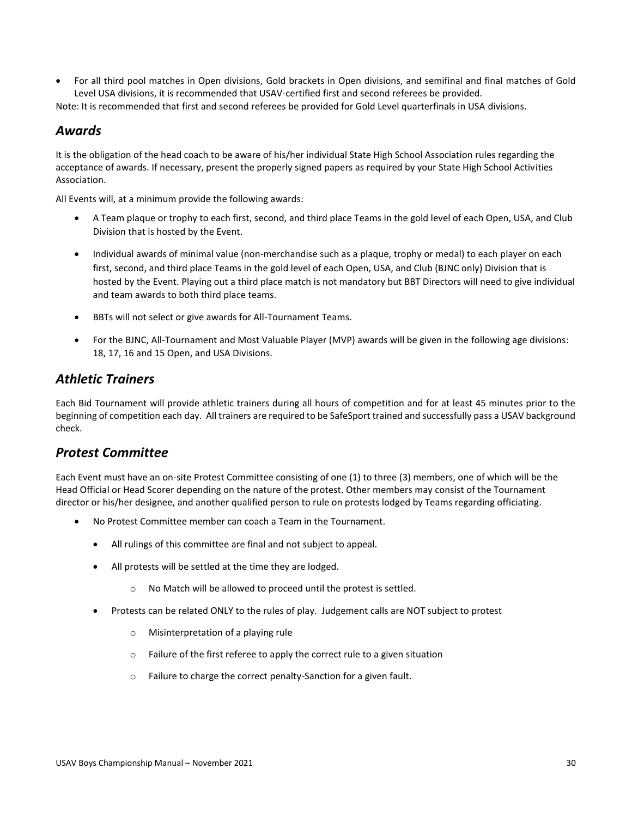• For all third pool matches in Open divisions, Gold brackets in Open divisions, and semifinal and final matches of Gold Level USA divisions, it is recommended that USAV-certified first and second referees be provided.

<span id="page-29-0"></span>Note: It is recommended that first and second referees be provided for Gold Level quarterfinals in USA divisions.

#### *Awards*

It is the obligation of the head coach to be aware of his/her individual State High School Association rules regarding the acceptance of awards. If necessary, present the properly signed papers as required by your State High School Activities Association.

All Events will, at a minimum provide the following awards:

- A Team plaque or trophy to each first, second, and third place Teams in the gold level of each Open, USA, and Club Division that is hosted by the Event.
- Individual awards of minimal value (non-merchandise such as a plaque, trophy or medal) to each player on each first, second, and third place Teams in the gold level of each Open, USA, and Club (BJNC only) Division that is hosted by the Event. Playing out a third place match is not mandatory but BBT Directors will need to give individual and team awards to both third place teams.
- BBTs will not select or give awards for All-Tournament Teams.
- For the BJNC, All-Tournament and Most Valuable Player (MVP) awards will be given in the following age divisions: 18, 17, 16 and 15 Open, and USA Divisions.

#### <span id="page-29-1"></span>*Athletic Trainers*

Each Bid Tournament will provide athletic trainers during all hours of competition and for at least 45 minutes prior to the beginning of competition each day. All trainers are required to be SafeSport trained and successfully pass a USAV background check.

#### <span id="page-29-2"></span>*Protest Committee*

Each Event must have an on-site Protest Committee consisting of one (1) to three (3) members, one of which will be the Head Official or Head Scorer depending on the nature of the protest. Other members may consist of the Tournament director or his/her designee, and another qualified person to rule on protests lodged by Teams regarding officiating.

- No Protest Committee member can coach a Team in the Tournament.
	- All rulings of this committee are final and not subject to appeal.
	- All protests will be settled at the time they are lodged.
		- o No Match will be allowed to proceed until the protest is settled.
	- Protests can be related ONLY to the rules of play. Judgement calls are NOT subject to protest
		- o Misinterpretation of a playing rule
		- o Failure of the first referee to apply the correct rule to a given situation
		- o Failure to charge the correct penalty-Sanction for a given fault.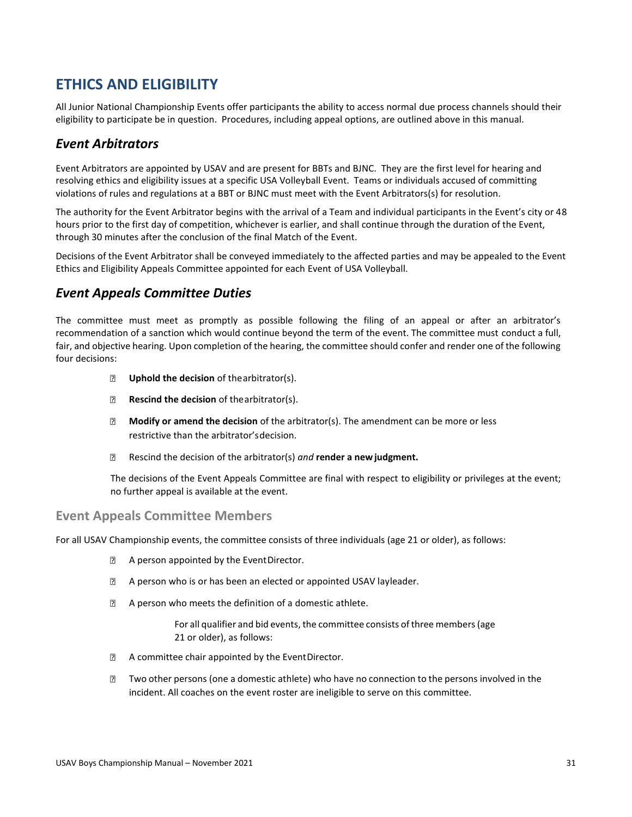### <span id="page-30-0"></span>**ETHICS AND ELIGIBILITY**

All Junior National Championship Events offer participants the ability to access normal due process channels should their eligibility to participate be in question. Procedures, including appeal options, are outlined above in this manual.

#### <span id="page-30-1"></span>*Event Arbitrators*

Event Arbitrators are appointed by USAV and are present for BBTs and BJNC. They are the first level for hearing and resolving ethics and eligibility issues at a specific USA Volleyball Event. Teams or individuals accused of committing violations of rules and regulations at a BBT or BJNC must meet with the Event Arbitrators(s) for resolution.

The authority for the Event Arbitrator begins with the arrival of a Team and individual participants in the Event's city or 48 hours prior to the first day of competition, whichever is earlier, and shall continue through the duration of the Event, through 30 minutes after the conclusion of the final Match of the Event.

Decisions of the Event Arbitrator shall be conveyed immediately to the affected parties and may be appealed to the Event Ethics and Eligibility Appeals Committee appointed for each Event of USA Volleyball.

#### <span id="page-30-2"></span>*Event Appeals Committee Duties*

The committee must meet as promptly as possible following the filing of an appeal or after an arbitrator's recommendation of a sanction which would continue beyond the term of the event. The committee must conduct a full, fair, and objective hearing. Upon completion of the hearing, the committee should confer and render one of the following four decisions:

- $\boxed{2}$ **Uphold the decision** of thearbitrator(s).
- **Rescind the decision** of thearbitrator(s).  $\boxed{2}$
- **Modify or amend the decision** of the arbitrator(s). The amendment can be more or less restrictive than the arbitrator'sdecision.
- $\overline{?}$ Rescind the decision of the arbitrator(s) *and* **render a newjudgment.**

The decisions of the Event Appeals Committee are final with respect to eligibility or privileges at the event; no further appeal is available at the event.

#### **Event Appeals Committee Members**

For all USAV Championship events, the committee consists of three individuals (age 21 or older), as follows:

- A person appointed by the EventDirector.
- **EXECUTE:** A person who is or has been an elected or appointed USAV layleader.
- **EXECUTE:** A person who meets the definition of a domestic athlete.

For all qualifier and bid events, the committee consists of three members (age 21 or older), as follows:

- $\boxed{2}$ A committee chair appointed by the EventDirector.
- Two other persons (one a domestic athlete) who have no connection to the persons involved in the incident. All coaches on the event roster are ineligible to serve on this committee.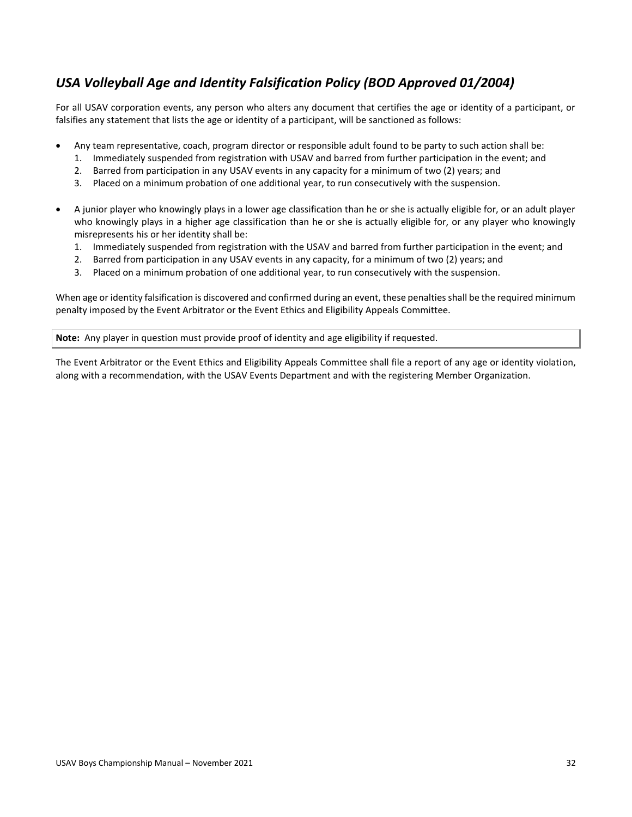### <span id="page-31-0"></span>*USA Volleyball Age and Identity Falsification Policy (BOD Approved 01/2004)*

For all USAV corporation events, any person who alters any document that certifies the age or identity of a participant, or falsifies any statement that lists the age or identity of a participant, will be sanctioned as follows:

- Any team representative, coach, program director or responsible adult found to be party to such action shall be:
	- 1. Immediately suspended from registration with USAV and barred from further participation in the event; and
	- 2. Barred from participation in any USAV events in any capacity for a minimum of two (2) years; and
	- 3. Placed on a minimum probation of one additional year, to run consecutively with the suspension.
- A junior player who knowingly plays in a lower age classification than he or she is actually eligible for, or an adult player who knowingly plays in a higher age classification than he or she is actually eligible for, or any player who knowingly misrepresents his or her identity shall be:
	- 1. Immediately suspended from registration with the USAV and barred from further participation in the event; and
	- 2. Barred from participation in any USAV events in any capacity, for a minimum of two (2) years; and
	- 3. Placed on a minimum probation of one additional year, to run consecutively with the suspension.

When age or identity falsification is discovered and confirmed during an event, these penalties shall be the required minimum penalty imposed by the Event Arbitrator or the Event Ethics and Eligibility Appeals Committee.

**Note:** Any player in question must provide proof of identity and age eligibility if requested.

The Event Arbitrator or the Event Ethics and Eligibility Appeals Committee shall file a report of any age or identity violation, along with a recommendation, with the USAV Events Department and with the registering Member Organization.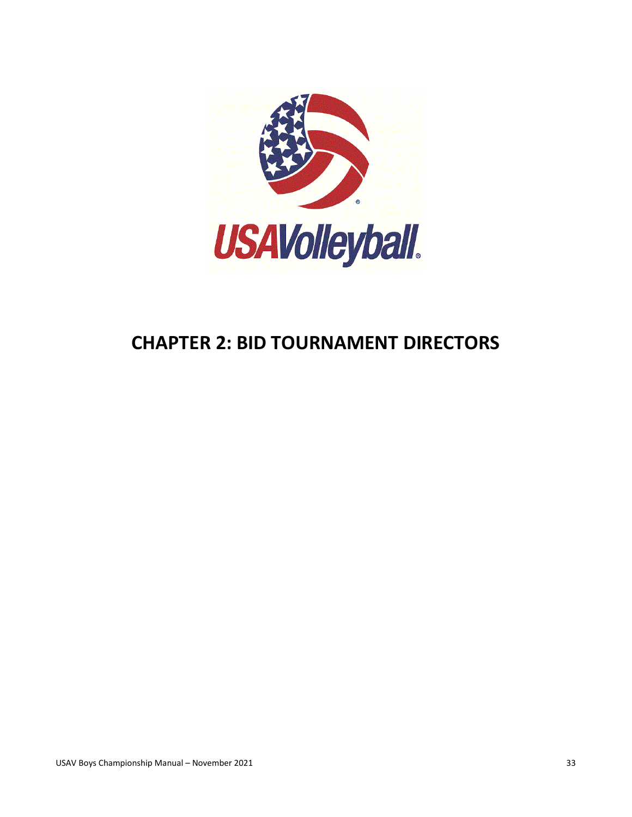

# <span id="page-32-0"></span>**CHAPTER 2: BID TOURNAMENT DIRECTORS**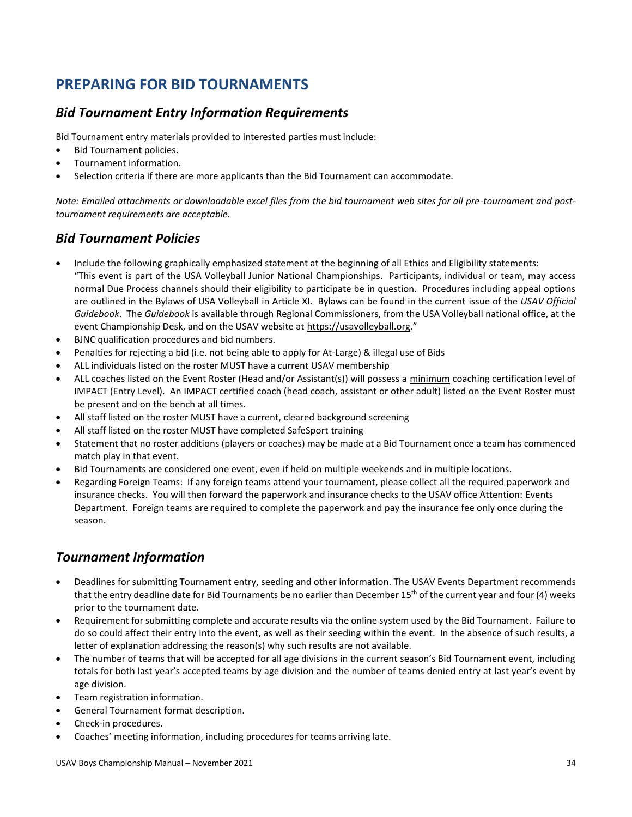## <span id="page-33-0"></span>**PREPARING FOR BID TOURNAMENTS**

### <span id="page-33-1"></span>*Bid Tournament Entry Information Requirements*

Bid Tournament entry materials provided to interested parties must include:

- Bid Tournament policies.
- Tournament information.
- Selection criteria if there are more applicants than the Bid Tournament can accommodate.

*Note: Emailed attachments or downloadable excel files from the bid tournament web sites for all pre-tournament and posttournament requirements are acceptable.*

#### <span id="page-33-2"></span>*Bid Tournament Policies*

- Include the following graphically emphasized statement at the beginning of all Ethics and Eligibility statements: "This event is part of the USA Volleyball Junior National Championships. Participants, individual or team, may access normal Due Process channels should their eligibility to participate be in question. Procedures including appeal options are outlined in the Bylaws of USA Volleyball in Article XI. Bylaws can be found in the current issue of the *USAV Official Guidebook*. The *Guidebook* is available through Regional Commissioners, from the USA Volleyball national office, at the event Championship Desk, and on the USAV website at [https://usavolleyball.org](https://usavolleyball.org/)."
- BJNC qualification procedures and bid numbers.
- Penalties for rejecting a bid (i.e. not being able to apply for At-Large) & illegal use of Bids
- ALL individuals listed on the roster MUST have a current USAV membership
- ALL coaches listed on the Event Roster (Head and/or Assistant(s)) will possess a minimum coaching certification level of IMPACT (Entry Level). An IMPACT certified coach (head coach, assistant or other adult) listed on the Event Roster must be present and on the bench at all times.
- All staff listed on the roster MUST have a current, cleared background screening
- All staff listed on the roster MUST have completed SafeSport training
- Statement that no roster additions (players or coaches) may be made at a Bid Tournament once a team has commenced match play in that event.
- Bid Tournaments are considered one event, even if held on multiple weekends and in multiple locations.
- Regarding Foreign Teams: If any foreign teams attend your tournament, please collect all the required paperwork and insurance checks. You will then forward the paperwork and insurance checks to the USAV office Attention: Events Department. Foreign teams are required to complete the paperwork and pay the insurance fee only once during the season.

### <span id="page-33-3"></span>*Tournament Information*

- Deadlines for submitting Tournament entry, seeding and other information. The USAV Events Department recommends that the entry deadline date for Bid Tournaments be no earlier than December 15<sup>th</sup> of the current year and four (4) weeks prior to the tournament date.
- Requirement for submitting complete and accurate results via the online system used by the Bid Tournament. Failure to do so could affect their entry into the event, as well as their seeding within the event. In the absence of such results, a letter of explanation addressing the reason(s) why such results are not available.
- The number of teams that will be accepted for all age divisions in the current season's Bid Tournament event, including totals for both last year's accepted teams by age division and the number of teams denied entry at last year's event by age division.
- Team registration information.
- General Tournament format description.
- Check-in procedures.
- Coaches' meeting information, including procedures for teams arriving late.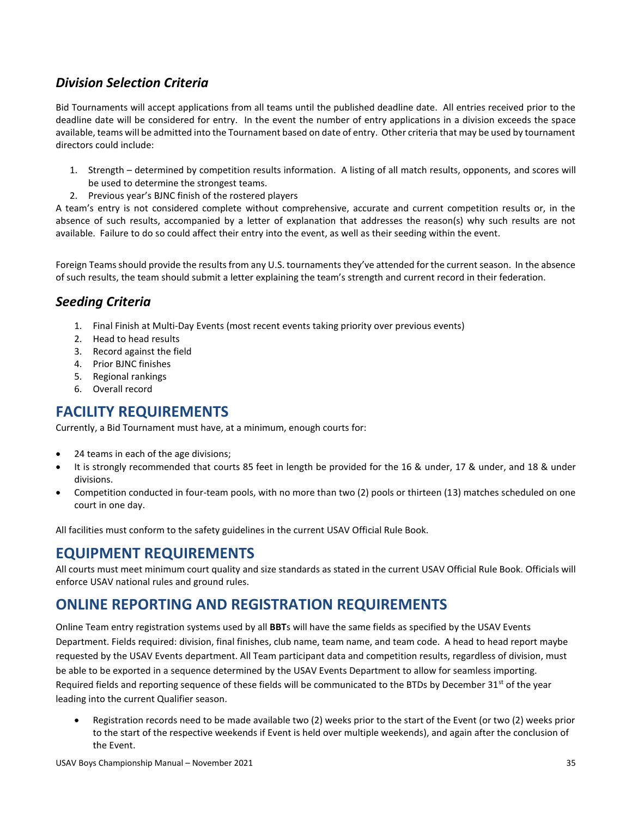### <span id="page-34-0"></span>*Division Selection Criteria*

Bid Tournaments will accept applications from all teams until the published deadline date. All entries received prior to the deadline date will be considered for entry. In the event the number of entry applications in a division exceeds the space available, teams will be admitted into the Tournament based on date of entry. Other criteria that may be used by tournament directors could include:

- 1. Strength determined by competition results information. A listing of all match results, opponents, and scores will be used to determine the strongest teams.
- 2. Previous year's BJNC finish of the rostered players

A team's entry is not considered complete without comprehensive, accurate and current competition results or, in the absence of such results, accompanied by a letter of explanation that addresses the reason(s) why such results are not available. Failure to do so could affect their entry into the event, as well as their seeding within the event.

Foreign Teams should provide the results from any U.S. tournaments they've attended for the current season. In the absence of such results, the team should submit a letter explaining the team's strength and current record in their federation.

#### <span id="page-34-1"></span>*Seeding Criteria*

- 1. Final Finish at Multi-Day Events (most recent events taking priority over previous events)
- 2. Head to head results
- 3. Record against the field
- 4. Prior BJNC finishes
- 5. Regional rankings
- 6. Overall record

## <span id="page-34-2"></span>**FACILITY REQUIREMENTS**

Currently, a Bid Tournament must have, at a minimum, enough courts for:

- 24 teams in each of the age divisions;
- It is strongly recommended that courts 85 feet in length be provided for the 16 & under, 17 & under, and 18 & under divisions.
- Competition conducted in four-team pools, with no more than two (2) pools or thirteen (13) matches scheduled on one court in one day.

All facilities must conform to the safety guidelines in the current USAV Official Rule Book.

### <span id="page-34-3"></span>**EQUIPMENT REQUIREMENTS**

All courts must meet minimum court quality and size standards as stated in the current USAV Official Rule Book. Officials will enforce USAV national rules and ground rules.

### <span id="page-34-4"></span>**ONLINE REPORTING AND REGISTRATION REQUIREMENTS**

Online Team entry registration systems used by all **BBT**s will have the same fields as specified by the USAV Events Department. Fields required: division, final finishes, club name, team name, and team code. A head to head report maybe requested by the USAV Events department. All Team participant data and competition results, regardless of division, must be able to be exported in a sequence determined by the USAV Events Department to allow for seamless importing. Required fields and reporting sequence of these fields will be communicated to the BTDs by December 31<sup>st</sup> of the year leading into the current Qualifier season.

• Registration records need to be made available two (2) weeks prior to the start of the Event (or two (2) weeks prior to the start of the respective weekends if Event is held over multiple weekends), and again after the conclusion of the Event.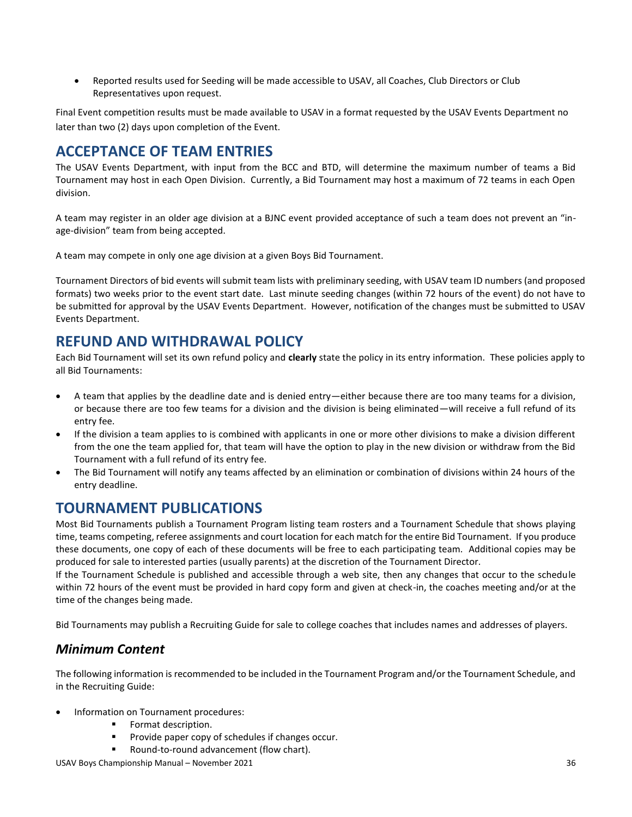• Reported results used for Seeding will be made accessible to USAV, all Coaches, Club Directors or Club Representatives upon request.

Final Event competition results must be made available to USAV in a format requested by the USAV Events Department no later than two (2) days upon completion of the Event.

### <span id="page-35-0"></span>**ACCEPTANCE OF TEAM ENTRIES**

The USAV Events Department, with input from the BCC and BTD, will determine the maximum number of teams a Bid Tournament may host in each Open Division. Currently, a Bid Tournament may host a maximum of 72 teams in each Open division.

A team may register in an older age division at a BJNC event provided acceptance of such a team does not prevent an "inage-division" team from being accepted.

A team may compete in only one age division at a given Boys Bid Tournament.

Tournament Directors of bid events will submit team lists with preliminary seeding, with USAV team ID numbers (and proposed formats) two weeks prior to the event start date. Last minute seeding changes (within 72 hours of the event) do not have to be submitted for approval by the USAV Events Department. However, notification of the changes must be submitted to USAV Events Department.

## <span id="page-35-1"></span>**REFUND AND WITHDRAWAL POLICY**

Each Bid Tournament will set its own refund policy and **clearly** state the policy in its entry information. These policies apply to all Bid Tournaments:

- A team that applies by the deadline date and is denied entry—either because there are too many teams for a division, or because there are too few teams for a division and the division is being eliminated—will receive a full refund of its entry fee.
- If the division a team applies to is combined with applicants in one or more other divisions to make a division different from the one the team applied for, that team will have the option to play in the new division or withdraw from the Bid Tournament with a full refund of its entry fee.
- The Bid Tournament will notify any teams affected by an elimination or combination of divisions within 24 hours of the entry deadline.

### <span id="page-35-2"></span>**TOURNAMENT PUBLICATIONS**

Most Bid Tournaments publish a Tournament Program listing team rosters and a Tournament Schedule that shows playing time, teams competing, referee assignments and court location for each match for the entire Bid Tournament. If you produce these documents, one copy of each of these documents will be free to each participating team. Additional copies may be produced for sale to interested parties (usually parents) at the discretion of the Tournament Director.

If the Tournament Schedule is published and accessible through a web site, then any changes that occur to the schedule within 72 hours of the event must be provided in hard copy form and given at check-in, the coaches meeting and/or at the time of the changes being made.

Bid Tournaments may publish a Recruiting Guide for sale to college coaches that includes names and addresses of players.

### <span id="page-35-3"></span>*Minimum Content*

The following information is recommended to be included in the Tournament Program and/or the Tournament Schedule, and in the Recruiting Guide:

- Information on Tournament procedures:
	- Format description.
	- Provide paper copy of schedules if changes occur.
	- Round-to-round advancement (flow chart).

USAV Boys Championship Manual – November 2021 36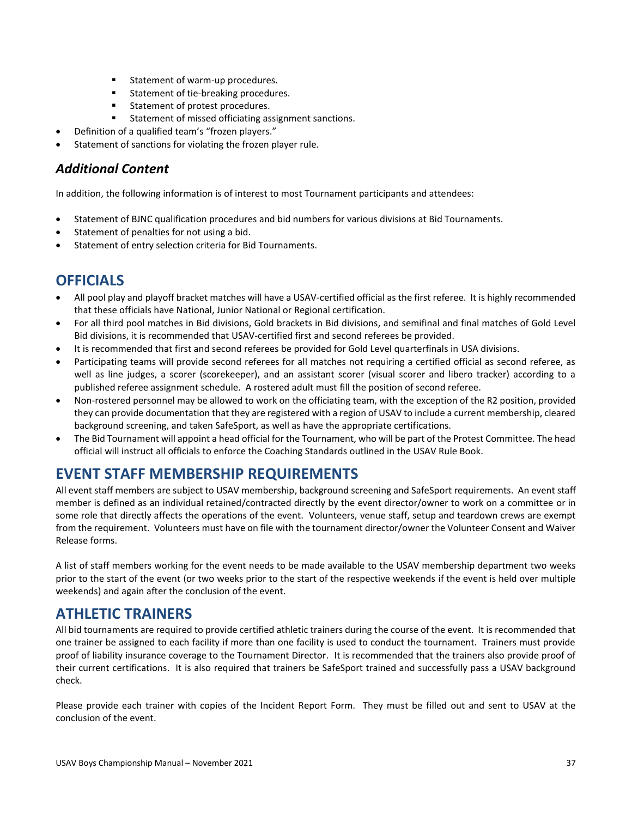- Statement of warm-up procedures.
- Statement of tie-breaking procedures.
- Statement of protest procedures.
- Statement of missed officiating assignment sanctions.
- Definition of a qualified team's "frozen players."
- Statement of sanctions for violating the frozen player rule.

#### <span id="page-36-0"></span>*Additional Content*

In addition, the following information is of interest to most Tournament participants and attendees:

- Statement of BJNC qualification procedures and bid numbers for various divisions at Bid Tournaments.
- Statement of penalties for not using a bid.
- Statement of entry selection criteria for Bid Tournaments.

### <span id="page-36-1"></span>**OFFICIALS**

- All pool play and playoff bracket matches will have a USAV-certified official as the first referee. It is highly recommended that these officials have National, Junior National or Regional certification.
- For all third pool matches in Bid divisions, Gold brackets in Bid divisions, and semifinal and final matches of Gold Level Bid divisions, it is recommended that USAV-certified first and second referees be provided.
- It is recommended that first and second referees be provided for Gold Level quarterfinals in USA divisions.
- Participating teams will provide second referees for all matches not requiring a certified official as second referee, as well as line judges, a scorer (scorekeeper), and an assistant scorer (visual scorer and libero tracker) according to a published referee assignment schedule. A rostered adult must fill the position of second referee.
- Non-rostered personnel may be allowed to work on the officiating team, with the exception of the R2 position, provided they can provide documentation that they are registered with a region of USAV to include a current membership, cleared background screening, and taken SafeSport, as well as have the appropriate certifications.
- The Bid Tournament will appoint a head official for the Tournament, who will be part of the Protest Committee. The head official will instruct all officials to enforce the Coaching Standards outlined in the USAV Rule Book.

### <span id="page-36-2"></span>**EVENT STAFF MEMBERSHIP REQUIREMENTS**

All event staff members are subject to USAV membership, background screening and SafeSport requirements. An event staff member is defined as an individual retained/contracted directly by the event director/owner to work on a committee or in some role that directly affects the operations of the event. Volunteers, venue staff, setup and teardown crews are exempt from the requirement. Volunteers must have on file with the tournament director/owner the Volunteer Consent and Waiver Release forms.

A list of staff members working for the event needs to be made available to the USAV membership department two weeks prior to the start of the event (or two weeks prior to the start of the respective weekends if the event is held over multiple weekends) and again after the conclusion of the event.

### <span id="page-36-3"></span>**ATHLETIC TRAINERS**

All bid tournaments are required to provide certified athletic trainers during the course of the event. It is recommended that one trainer be assigned to each facility if more than one facility is used to conduct the tournament. Trainers must provide proof of liability insurance coverage to the Tournament Director. It is recommended that the trainers also provide proof of their current certifications. It is also required that trainers be SafeSport trained and successfully pass a USAV background check.

Please provide each trainer with copies of the Incident Report Form. They must be filled out and sent to USAV at the conclusion of the event.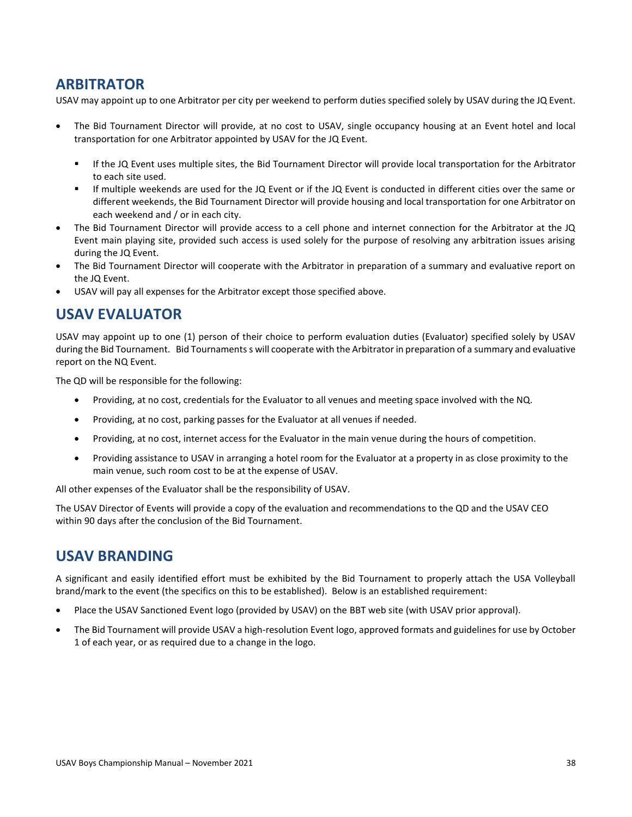### <span id="page-37-0"></span>**ARBITRATOR**

USAV may appoint up to one Arbitrator per city per weekend to perform duties specified solely by USAV during the JQ Event.

- The Bid Tournament Director will provide, at no cost to USAV, single occupancy housing at an Event hotel and local transportation for one Arbitrator appointed by USAV for the JQ Event.
	- If the JQ Event uses multiple sites, the Bid Tournament Director will provide local transportation for the Arbitrator to each site used.
	- If multiple weekends are used for the JQ Event or if the JQ Event is conducted in different cities over the same or different weekends, the Bid Tournament Director will provide housing and local transportation for one Arbitrator on each weekend and / or in each city.
- The Bid Tournament Director will provide access to a cell phone and internet connection for the Arbitrator at the JQ Event main playing site, provided such access is used solely for the purpose of resolving any arbitration issues arising during the JQ Event.
- The Bid Tournament Director will cooperate with the Arbitrator in preparation of a summary and evaluative report on the JQ Event.
- USAV will pay all expenses for the Arbitrator except those specified above.

### <span id="page-37-1"></span>**USAV EVALUATOR**

USAV may appoint up to one (1) person of their choice to perform evaluation duties (Evaluator) specified solely by USAV during the Bid Tournament. Bid Tournaments s will cooperate with the Arbitrator in preparation of a summary and evaluative report on the NQ Event.

The QD will be responsible for the following:

- Providing, at no cost, credentials for the Evaluator to all venues and meeting space involved with the NQ.
- Providing, at no cost, parking passes for the Evaluator at all venues if needed.
- Providing, at no cost, internet access for the Evaluator in the main venue during the hours of competition.
- Providing assistance to USAV in arranging a hotel room for the Evaluator at a property in as close proximity to the main venue, such room cost to be at the expense of USAV.

All other expenses of the Evaluator shall be the responsibility of USAV.

The USAV Director of Events will provide a copy of the evaluation and recommendations to the QD and the USAV CEO within 90 days after the conclusion of the Bid Tournament.

### <span id="page-37-2"></span>**USAV BRANDING**

A significant and easily identified effort must be exhibited by the Bid Tournament to properly attach the USA Volleyball brand/mark to the event (the specifics on this to be established). Below is an established requirement:

- Place the USAV Sanctioned Event logo (provided by USAV) on the BBT web site (with USAV prior approval).
- The Bid Tournament will provide USAV a high-resolution Event logo, approved formats and guidelines for use by October 1 of each year, or as required due to a change in the logo.